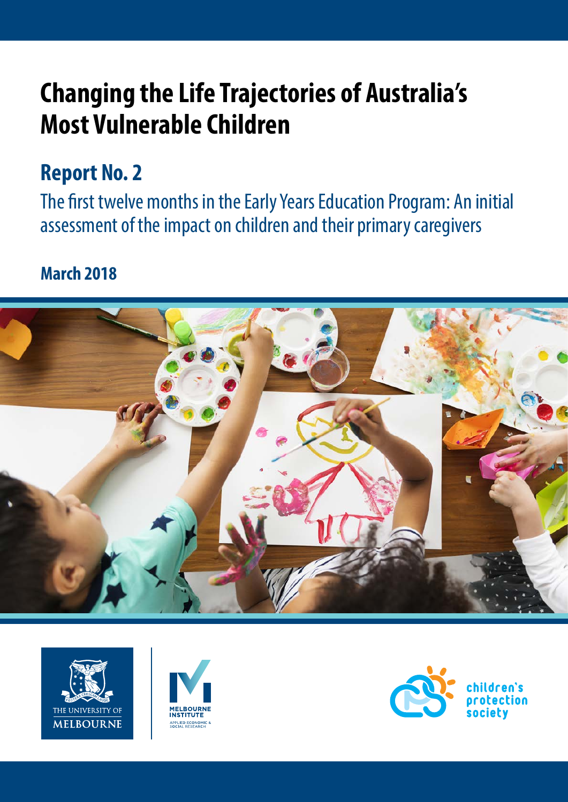# **Changing the Life Trajectories of Australia's Most Vulnerable Children**

### **Report No. 2**

The first twelve months in the Early Years Education Program: An initial assessment of the impact on children and their primary caregivers

### **March 2018**







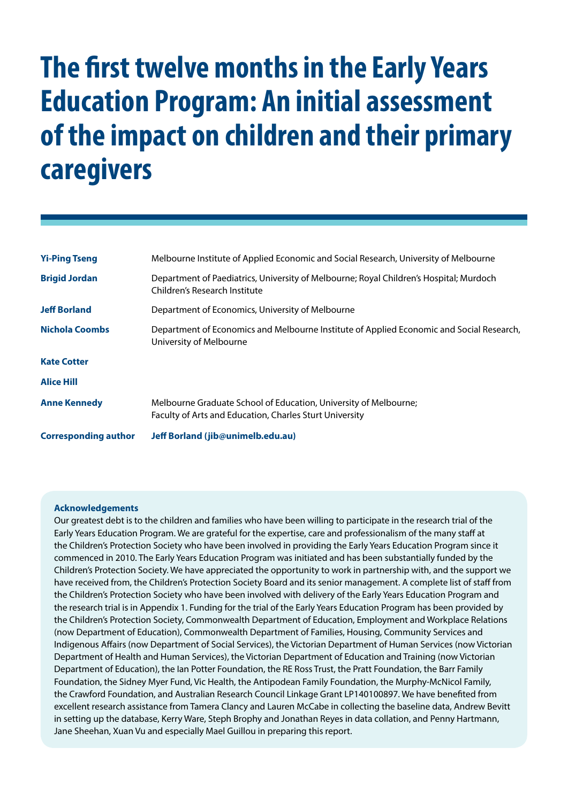# **The first twelve months in the Early Years Education Program: An initial assessment of the impact on children and their primary caregivers**

| <b>Yi-Ping Tseng</b>                                                                                                                         | Melbourne Institute of Applied Economic and Social Research, University of Melbourne                                        |  |  |
|----------------------------------------------------------------------------------------------------------------------------------------------|-----------------------------------------------------------------------------------------------------------------------------|--|--|
| <b>Brigid Jordan</b>                                                                                                                         | Department of Paediatrics, University of Melbourne; Royal Children's Hospital; Murdoch<br>Children's Research Institute     |  |  |
| <b>Jeff Borland</b>                                                                                                                          | Department of Economics, University of Melbourne                                                                            |  |  |
| <b>Nichola Coombs</b><br>Department of Economics and Melbourne Institute of Applied Economic and Social Research,<br>University of Melbourne |                                                                                                                             |  |  |
| <b>Kate Cotter</b>                                                                                                                           |                                                                                                                             |  |  |
| <b>Alice Hill</b>                                                                                                                            |                                                                                                                             |  |  |
| <b>Anne Kennedy</b>                                                                                                                          | Melbourne Graduate School of Education, University of Melbourne;<br>Faculty of Arts and Education, Charles Sturt University |  |  |
| <b>Corresponding author</b>                                                                                                                  | Jeff Borland (jib@unimelb.edu.au)                                                                                           |  |  |

#### **Acknowledgements**

Our greatest debt is to the children and families who have been willing to participate in the research trial of the Early Years Education Program. We are grateful for the expertise, care and professionalism of the many staff at the Children's Protection Society who have been involved in providing the Early Years Education Program since it commenced in 2010. The Early Years Education Program was initiated and has been substantially funded by the Children's Protection Society. We have appreciated the opportunity to work in partnership with, and the support we have received from, the Children's Protection Society Board and its senior management. A complete list of staff from the Children's Protection Society who have been involved with delivery of the Early Years Education Program and the research trial is in Appendix 1. Funding for the trial of the Early Years Education Program has been provided by the Children's Protection Society, Commonwealth Department of Education, Employment and Workplace Relations (now Department of Education), Commonwealth Department of Families, Housing, Community Services and Indigenous Affairs (now Department of Social Services), the Victorian Department of Human Services (now Victorian Department of Health and Human Services), the Victorian Department of Education and Training (now Victorian Department of Education), the Ian Potter Foundation, the RE Ross Trust, the Pratt Foundation, the Barr Family Foundation, the Sidney Myer Fund, Vic Health, the Antipodean Family Foundation, the Murphy-McNicol Family, the Crawford Foundation, and Australian Research Council Linkage Grant LP140100897. We have benefited from excellent research assistance from Tamera Clancy and Lauren McCabe in collecting the baseline data, Andrew Bevitt in setting up the database, Kerry Ware, Steph Brophy and Jonathan Reyes in data collation, and Penny Hartmann, Jane Sheehan, Xuan Vu and especially Mael Guillou in preparing this report.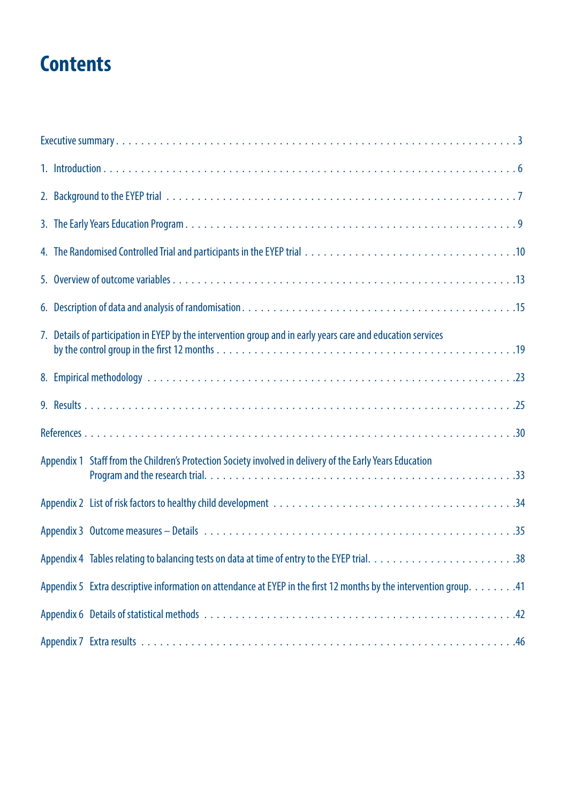# **Contents**

| 7. Details of participation in EYEP by the intervention group and in early years care and education services        |
|---------------------------------------------------------------------------------------------------------------------|
|                                                                                                                     |
|                                                                                                                     |
|                                                                                                                     |
| Appendix 1 Staff from the Children's Protection Society involved in delivery of the Early Years Education           |
|                                                                                                                     |
|                                                                                                                     |
|                                                                                                                     |
| Appendix 5 Extra descriptive information on attendance at EYEP in the first 12 months by the intervention group. 41 |
|                                                                                                                     |
|                                                                                                                     |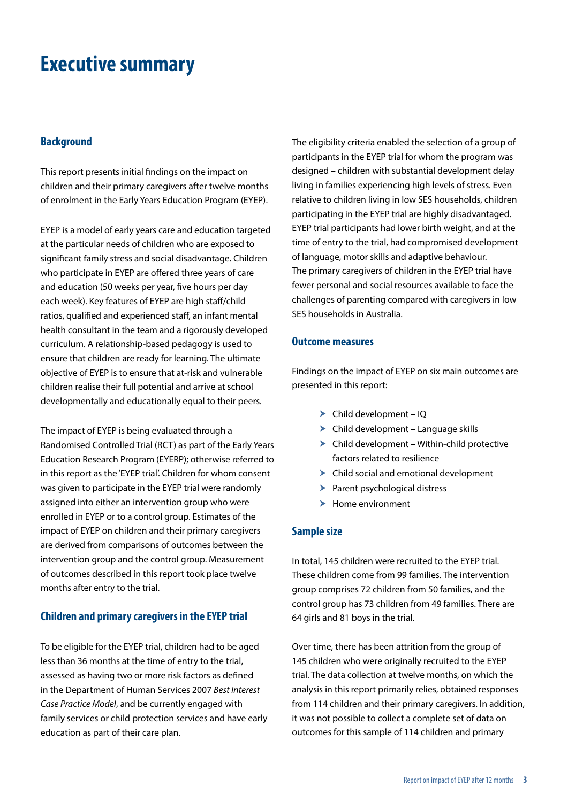### <span id="page-3-0"></span>**Executive summary**

#### **Background**

This report presents initial findings on the impact on children and their primary caregivers after twelve months of enrolment in the Early Years Education Program (EYEP).

EYEP is a model of early years care and education targeted at the particular needs of children who are exposed to significant family stress and social disadvantage. Children who participate in EYEP are offered three years of care and education (50 weeks per year, five hours per day each week). Key features of EYEP are high staff/child ratios, qualified and experienced staff, an infant mental health consultant in the team and a rigorously developed curriculum. A relationship-based pedagogy is used to ensure that children are ready for learning. The ultimate objective of EYEP is to ensure that at-risk and vulnerable children realise their full potential and arrive at school developmentally and educationally equal to their peers.

The impact of EYEP is being evaluated through a Randomised Controlled Trial (RCT) as part of the Early Years Education Research Program (EYERP); otherwise referred to in this report as the 'EYEP trial'. Children for whom consent was given to participate in the EYEP trial were randomly assigned into either an intervention group who were enrolled in EYEP or to a control group. Estimates of the impact of EYEP on children and their primary caregivers are derived from comparisons of outcomes between the intervention group and the control group. Measurement of outcomes described in this report took place twelve months after entry to the trial.

#### **Children and primary caregivers in the EYEP trial**

To be eligible for the EYEP trial, children had to be aged less than 36 months at the time of entry to the trial, assessed as having two or more risk factors as defined in the Department of Human Services 2007 *Best Interest Case Practice Model*, and be currently engaged with family services or child protection services and have early education as part of their care plan.

The eligibility criteria enabled the selection of a group of participants in the EYEP trial for whom the program was designed – children with substantial development delay living in families experiencing high levels of stress. Even relative to children living in low SES households, children participating in the EYEP trial are highly disadvantaged. EYEP trial participants had lower birth weight, and at the time of entry to the trial, had compromised development of language, motor skills and adaptive behaviour. The primary caregivers of children in the EYEP trial have fewer personal and social resources available to face the challenges of parenting compared with caregivers in low SES households in Australia.

#### **Outcome measures**

Findings on the impact of EYEP on six main outcomes are presented in this report:

- $\triangleright$  Child development IQ
- $\blacktriangleright$  Child development Language skills
- $\blacktriangleright$  Child development Within-child protective factors related to resilience
- $\blacktriangleright$  Child social and emotional development
- $\blacktriangleright$  Parent psychological distress
- $\blacktriangleright$  Home environment

#### **Sample size**

In total, 145 children were recruited to the EYEP trial. These children come from 99 families. The intervention group comprises 72 children from 50 families, and the control group has 73 children from 49 families. There are 64 girls and 81 boys in the trial.

Over time, there has been attrition from the group of 145 children who were originally recruited to the EYEP trial. The data collection at twelve months, on which the analysis in this report primarily relies, obtained responses from 114 children and their primary caregivers. In addition, it was not possible to collect a complete set of data on outcomes for this sample of 114 children and primary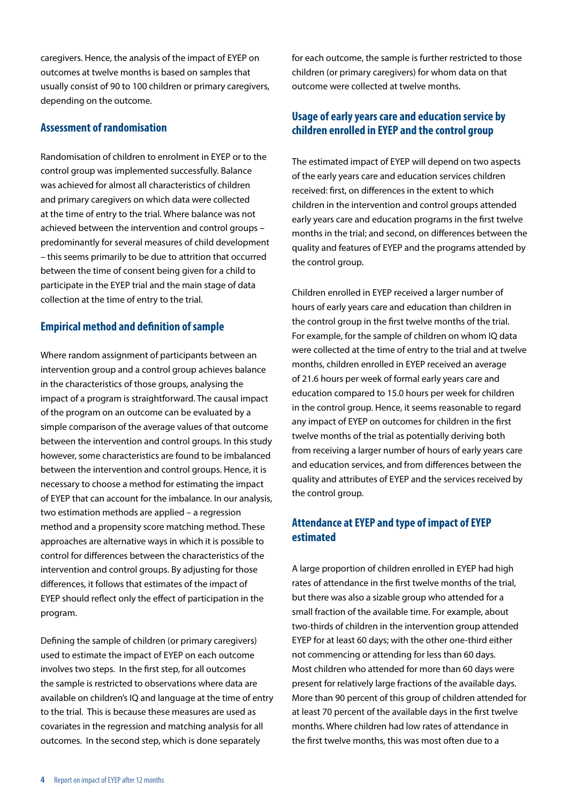caregivers. Hence, the analysis of the impact of EYEP on outcomes at twelve months is based on samples that usually consist of 90 to 100 children or primary caregivers, depending on the outcome.

#### **Assessment of randomisation**

Randomisation of children to enrolment in EYEP or to the control group was implemented successfully. Balance was achieved for almost all characteristics of children and primary caregivers on which data were collected at the time of entry to the trial. Where balance was not achieved between the intervention and control groups – predominantly for several measures of child development – this seems primarily to be due to attrition that occurred between the time of consent being given for a child to participate in the EYEP trial and the main stage of data collection at the time of entry to the trial.

#### **Empirical method and definition of sample**

Where random assignment of participants between an intervention group and a control group achieves balance in the characteristics of those groups, analysing the impact of a program is straightforward. The causal impact of the program on an outcome can be evaluated by a simple comparison of the average values of that outcome between the intervention and control groups. In this study however, some characteristics are found to be imbalanced between the intervention and control groups. Hence, it is necessary to choose a method for estimating the impact of EYEP that can account for the imbalance. In our analysis, two estimation methods are applied – a regression method and a propensity score matching method. These approaches are alternative ways in which it is possible to control for differences between the characteristics of the intervention and control groups. By adjusting for those differences, it follows that estimates of the impact of EYEP should reflect only the effect of participation in the program.

Defining the sample of children (or primary caregivers) used to estimate the impact of EYEP on each outcome involves two steps. In the first step, for all outcomes the sample is restricted to observations where data are available on children's IQ and language at the time of entry to the trial. This is because these measures are used as covariates in the regression and matching analysis for all outcomes. In the second step, which is done separately

for each outcome, the sample is further restricted to those children (or primary caregivers) for whom data on that outcome were collected at twelve months.

#### **Usage of early years care and education service by children enrolled in EYEP and the control group**

The estimated impact of EYEP will depend on two aspects of the early years care and education services children received: first, on differences in the extent to which children in the intervention and control groups attended early years care and education programs in the first twelve months in the trial; and second, on differences between the quality and features of EYEP and the programs attended by the control group.

Children enrolled in EYEP received a larger number of hours of early years care and education than children in the control group in the first twelve months of the trial. For example, for the sample of children on whom IQ data were collected at the time of entry to the trial and at twelve months, children enrolled in EYEP received an average of 21.6 hours per week of formal early years care and education compared to 15.0 hours per week for children in the control group. Hence, it seems reasonable to regard any impact of EYEP on outcomes for children in the first twelve months of the trial as potentially deriving both from receiving a larger number of hours of early years care and education services, and from differences between the quality and attributes of EYEP and the services received by the control group.

#### **Attendance at EYEP and type of impact of EYEP estimated**

A large proportion of children enrolled in EYEP had high rates of attendance in the first twelve months of the trial, but there was also a sizable group who attended for a small fraction of the available time. For example, about two-thirds of children in the intervention group attended EYEP for at least 60 days; with the other one-third either not commencing or attending for less than 60 days. Most children who attended for more than 60 days were present for relatively large fractions of the available days. More than 90 percent of this group of children attended for at least 70 percent of the available days in the first twelve months. Where children had low rates of attendance in the first twelve months, this was most often due to a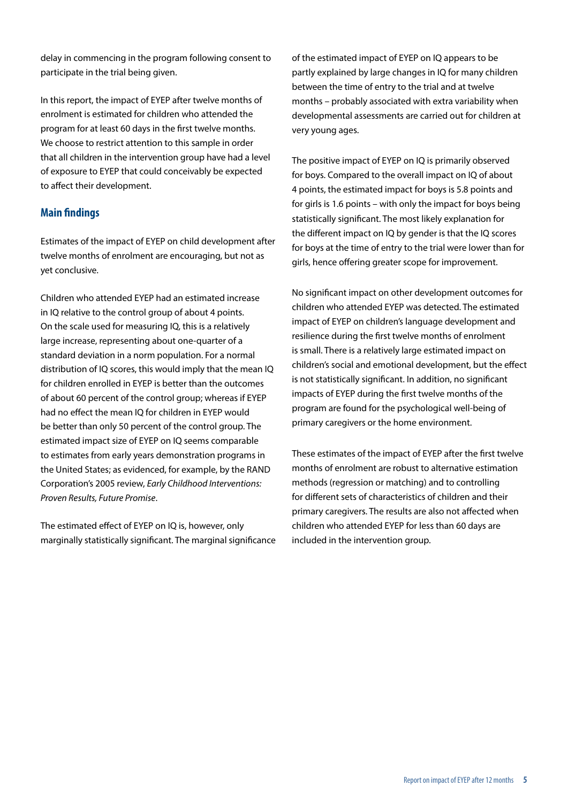delay in commencing in the program following consent to participate in the trial being given.

In this report, the impact of EYEP after twelve months of enrolment is estimated for children who attended the program for at least 60 days in the first twelve months. We choose to restrict attention to this sample in order that all children in the intervention group have had a level of exposure to EYEP that could conceivably be expected to affect their development.

#### **Main findings**

Estimates of the impact of EYEP on child development after twelve months of enrolment are encouraging, but not as yet conclusive.

Children who attended EYEP had an estimated increase in IQ relative to the control group of about 4 points. On the scale used for measuring IQ, this is a relatively large increase, representing about one-quarter of a standard deviation in a norm population. For a normal distribution of IQ scores, this would imply that the mean IQ for children enrolled in EYEP is better than the outcomes of about 60 percent of the control group; whereas if EYEP had no effect the mean IQ for children in EYEP would be better than only 50 percent of the control group. The estimated impact size of EYEP on IQ seems comparable to estimates from early years demonstration programs in the United States; as evidenced, for example, by the RAND Corporation's 2005 review, *Early Childhood Interventions: Proven Results, Future Promise*.

The estimated effect of EYEP on IQ is, however, only marginally statistically significant. The marginal significance of the estimated impact of EYEP on IQ appears to be partly explained by large changes in IQ for many children between the time of entry to the trial and at twelve months – probably associated with extra variability when developmental assessments are carried out for children at very young ages.

The positive impact of EYEP on IQ is primarily observed for boys. Compared to the overall impact on IQ of about 4 points, the estimated impact for boys is 5.8 points and for girls is 1.6 points – with only the impact for boys being statistically significant. The most likely explanation for the different impact on IQ by gender is that the IQ scores for boys at the time of entry to the trial were lower than for girls, hence offering greater scope for improvement.

No significant impact on other development outcomes for children who attended EYEP was detected. The estimated impact of EYEP on children's language development and resilience during the first twelve months of enrolment is small. There is a relatively large estimated impact on children's social and emotional development, but the effect is not statistically significant. In addition, no significant impacts of EYEP during the first twelve months of the program are found for the psychological well-being of primary caregivers or the home environment.

These estimates of the impact of EYEP after the first twelve months of enrolment are robust to alternative estimation methods (regression or matching) and to controlling for different sets of characteristics of children and their primary caregivers. The results are also not affected when children who attended EYEP for less than 60 days are included in the intervention group.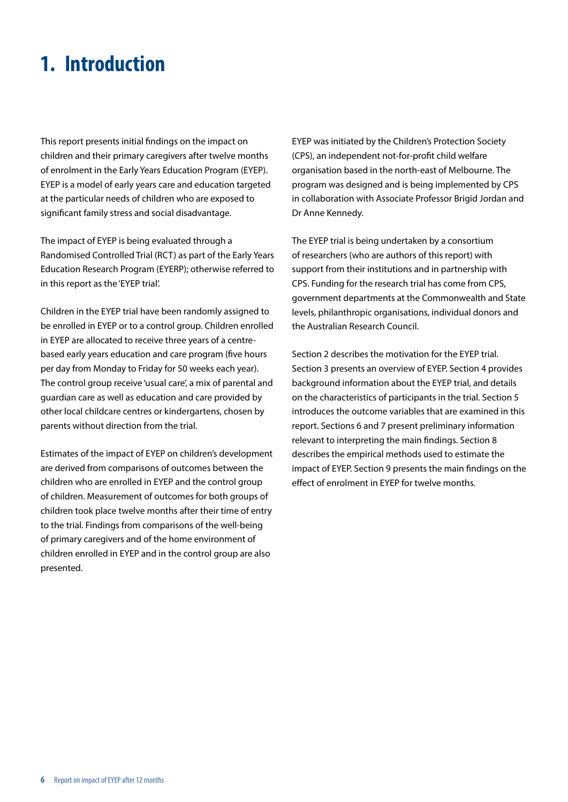### <span id="page-6-0"></span>**1. Introduction**

This report presents initial findings on the impact on children and their primary caregivers after twelve months of enrolment in the Early Years Education Program (EYEP). EYEP is a model of early years care and education targeted at the particular needs of children who are exposed to significant family stress and social disadvantage.

The impact of EYEP is being evaluated through a Randomised Controlled Trial (RCT) as part of the Early Years Education Research Program (EYERP); otherwise referred to in this report as the 'EYEP trial'.

Children in the EYEP trial have been randomly assigned to be enrolled in EYEP or to a control group. Children enrolled in EYEP are allocated to receive three years of a centrebased early years education and care program (five hours per day from Monday to Friday for 50 weeks each year). The control group receive 'usual care', a mix of parental and guardian care as well as education and care provided by other local childcare centres or kindergartens, chosen by parents without direction from the trial.

Estimates of the impact of EYEP on children's development are derived from comparisons of outcomes between the children who are enrolled in EYEP and the control group of children. Measurement of outcomes for both groups of children took place twelve months after their time of entry to the trial. Findings from comparisons of the well-being of primary caregivers and of the home environment of children enrolled in EYEP and in the control group are also presented.

EYEP was initiated by the Children's Protection Society (CPS), an independent not-for-profit child welfare organisation based in the north-east of Melbourne. The program was designed and is being implemented by CPS in collaboration with Associate Professor Brigid Jordan and Dr Anne Kennedy.

The EYEP trial is being undertaken by a consortium of researchers (who are authors of this report) with support from their institutions and in partnership with CPS. Funding for the research trial has come from CPS, government departments at the Commonwealth and State levels, philanthropic organisations, individual donors and the Australian Research Council.

Section 2 describes the motivation for the EYEP trial. Section 3 presents an overview of EYEP. Section 4 provides background information about the EYEP trial, and details on the characteristics of participants in the trial. Section 5 introduces the outcome variables that are examined in this report. Sections 6 and 7 present preliminary information relevant to interpreting the main findings. Section 8 describes the empirical methods used to estimate the impact of EYEP. Section 9 presents the main findings on the effect of enrolment in EYEP for twelve months.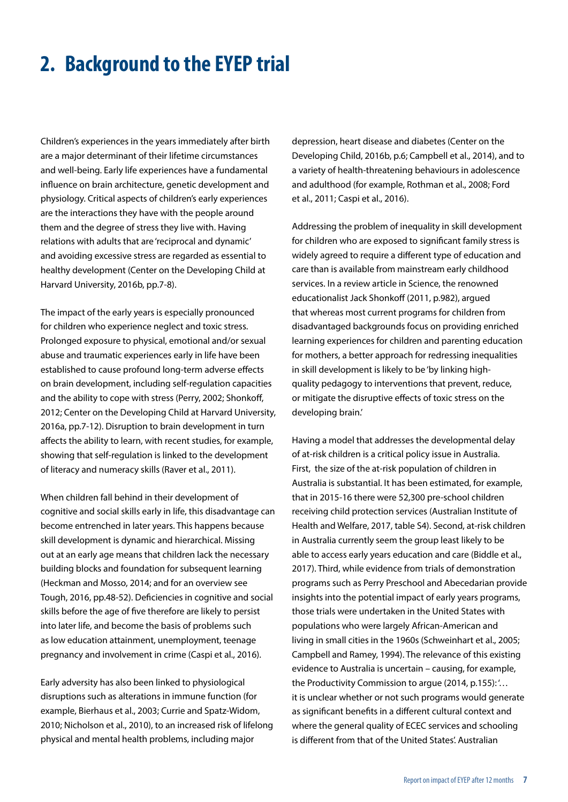### <span id="page-7-0"></span>**2. Background to the EYEP trial**

Children's experiences in the years immediately after birth are a major determinant of their lifetime circumstances and well-being. Early life experiences have a fundamental influence on brain architecture, genetic development and physiology. Critical aspects of children's early experiences are the interactions they have with the people around them and the degree of stress they live with. Having relations with adults that are 'reciprocal and dynamic' and avoiding excessive stress are regarded as essential to healthy development (Center on the Developing Child at Harvard University, 2016b, pp.7-8).

The impact of the early years is especially pronounced for children who experience neglect and toxic stress. Prolonged exposure to physical, emotional and/or sexual abuse and traumatic experiences early in life have been established to cause profound long-term adverse effects on brain development, including self-regulation capacities and the ability to cope with stress (Perry, 2002; Shonkoff, 2012; Center on the Developing Child at Harvard University, 2016a, pp.7-12). Disruption to brain development in turn affects the ability to learn, with recent studies, for example, showing that self-regulation is linked to the development of literacy and numeracy skills (Raver et al., 2011).

When children fall behind in their development of cognitive and social skills early in life, this disadvantage can become entrenched in later years. This happens because skill development is dynamic and hierarchical. Missing out at an early age means that children lack the necessary building blocks and foundation for subsequent learning (Heckman and Mosso, 2014; and for an overview see Tough, 2016, pp.48-52). Deficiencies in cognitive and social skills before the age of five therefore are likely to persist into later life, and become the basis of problems such as low education attainment, unemployment, teenage pregnancy and involvement in crime (Caspi et al., 2016).

Early adversity has also been linked to physiological disruptions such as alterations in immune function (for example, Bierhaus et al., 2003; Currie and Spatz-Widom, 2010; Nicholson et al., 2010), to an increased risk of lifelong physical and mental health problems, including major

depression, heart disease and diabetes (Center on the Developing Child, 2016b, p.6; Campbell et al., 2014), and to a variety of health-threatening behaviours in adolescence and adulthood (for example, Rothman et al., 2008; Ford et al., 2011; Caspi et al., 2016).

Addressing the problem of inequality in skill development for children who are exposed to significant family stress is widely agreed to require a different type of education and care than is available from mainstream early childhood services. In a review article in Science, the renowned educationalist Jack Shonkoff (2011, p.982), argued that whereas most current programs for children from disadvantaged backgrounds focus on providing enriched learning experiences for children and parenting education for mothers, a better approach for redressing inequalities in skill development is likely to be 'by linking highquality pedagogy to interventions that prevent, reduce, or mitigate the disruptive effects of toxic stress on the developing brain.'

Having a model that addresses the developmental delay of at-risk children is a critical policy issue in Australia. First, the size of the at-risk population of children in Australia is substantial. It has been estimated, for example, that in 2015-16 there were 52,300 pre-school children receiving child protection services (Australian Institute of Health and Welfare, 2017, table S4). Second, at-risk children in Australia currently seem the group least likely to be able to access early years education and care (Biddle et al., 2017). Third, while evidence from trials of demonstration programs such as Perry Preschool and Abecedarian provide insights into the potential impact of early years programs, those trials were undertaken in the United States with populations who were largely African-American and living in small cities in the 1960s (Schweinhart et al., 2005; Campbell and Ramey, 1994). The relevance of this existing evidence to Australia is uncertain – causing, for example, the Productivity Commission to argue (2014, p.155): '… it is unclear whether or not such programs would generate as significant benefits in a different cultural context and where the general quality of ECEC services and schooling is different from that of the United States'. Australian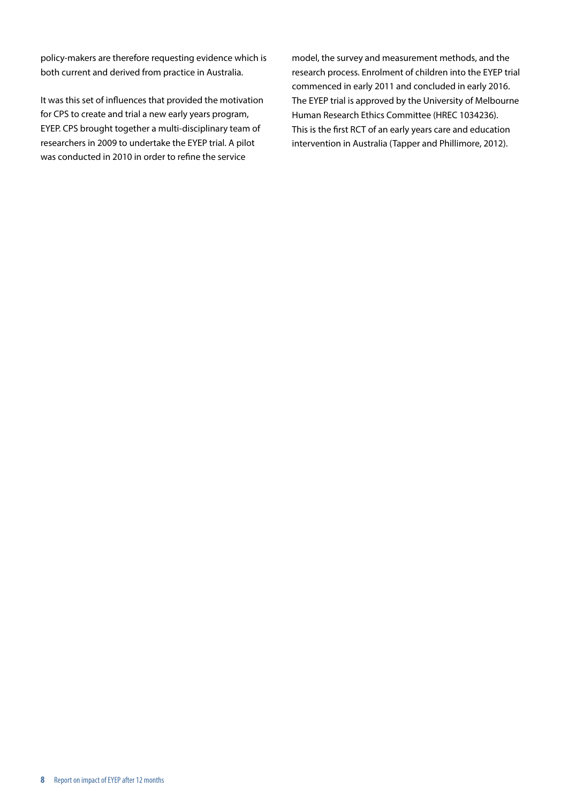policy-makers are therefore requesting evidence which is both current and derived from practice in Australia.

It was this set of influences that provided the motivation for CPS to create and trial a new early years program, EYEP. CPS brought together a multi-disciplinary team of researchers in 2009 to undertake the EYEP trial. A pilot was conducted in 2010 in order to refine the service

model, the survey and measurement methods, and the research process. Enrolment of children into the EYEP trial commenced in early 2011 and concluded in early 2016. The EYEP trial is approved by the University of Melbourne Human Research Ethics Committee (HREC 1034236). This is the first RCT of an early years care and education intervention in Australia (Tapper and Phillimore, 2012).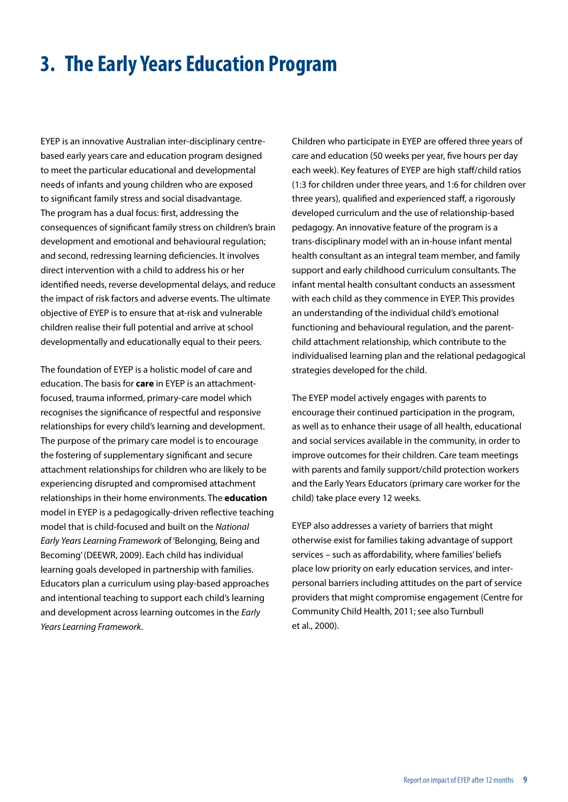### <span id="page-9-0"></span>**3. The Early Years Education Program**

EYEP is an innovative Australian inter-disciplinary centrebased early years care and education program designed to meet the particular educational and developmental needs of infants and young children who are exposed to significant family stress and social disadvantage. The program has a dual focus: first, addressing the consequences of significant family stress on children's brain development and emotional and behavioural regulation; and second, redressing learning deficiencies. It involves direct intervention with a child to address his or her identified needs, reverse developmental delays, and reduce the impact of risk factors and adverse events. The ultimate objective of EYEP is to ensure that at-risk and vulnerable children realise their full potential and arrive at school developmentally and educationally equal to their peers.

The foundation of EYEP is a holistic model of care and education. The basis for **care** in EYEP is an attachmentfocused, trauma informed, primary-care model which recognises the significance of respectful and responsive relationships for every child's learning and development. The purpose of the primary care model is to encourage the fostering of supplementary significant and secure attachment relationships for children who are likely to be experiencing disrupted and compromised attachment relationships in their home environments. The **education** model in EYEP is a pedagogically-driven reflective teaching model that is child-focused and built on the *National Early Years Learning Framework* of 'Belonging, Being and Becoming' (DEEWR, 2009). Each child has individual learning goals developed in partnership with families. Educators plan a curriculum using play-based approaches and intentional teaching to support each child's learning and development across learning outcomes in the *Early Years Learning Framework*.

Children who participate in EYEP are offered three years of care and education (50 weeks per year, five hours per day each week). Key features of EYEP are high staff/child ratios (1:3 for children under three years, and 1:6 for children over three years), qualified and experienced staff, a rigorously developed curriculum and the use of relationship-based pedagogy. An innovative feature of the program is a trans-disciplinary model with an in-house infant mental health consultant as an integral team member, and family support and early childhood curriculum consultants. The infant mental health consultant conducts an assessment with each child as they commence in EYEP. This provides an understanding of the individual child's emotional functioning and behavioural regulation, and the parentchild attachment relationship, which contribute to the individualised learning plan and the relational pedagogical strategies developed for the child.

The EYEP model actively engages with parents to encourage their continued participation in the program, as well as to enhance their usage of all health, educational and social services available in the community, in order to improve outcomes for their children. Care team meetings with parents and family support/child protection workers and the Early Years Educators (primary care worker for the child) take place every 12 weeks.

EYEP also addresses a variety of barriers that might otherwise exist for families taking advantage of support services – such as affordability, where families' beliefs place low priority on early education services, and interpersonal barriers including attitudes on the part of service providers that might compromise engagement (Centre for Community Child Health, 2011; see also Turnbull et al., 2000).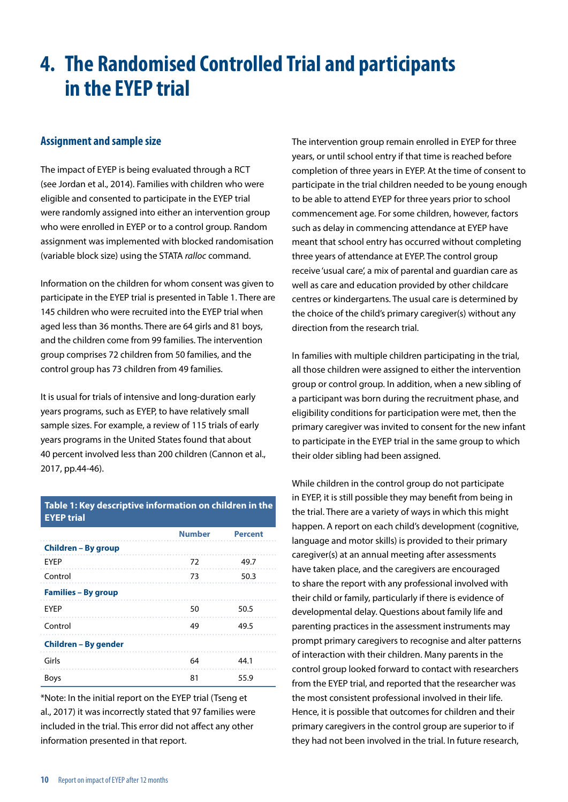### <span id="page-10-0"></span>**4. The Randomised Controlled Trial and participants in the EYEP trial**

#### **Assignment and sample size**

The impact of EYEP is being evaluated through a RCT (see Jordan et al., 2014). Families with children who were eligible and consented to participate in the EYEP trial were randomly assigned into either an intervention group who were enrolled in EYEP or to a control group. Random assignment was implemented with blocked randomisation (variable block size) using the STATA *ralloc* command.

Information on the children for whom consent was given to participate in the EYEP trial is presented in Table 1. There are 145 children who were recruited into the EYEP trial when aged less than 36 months. There are 64 girls and 81 boys, and the children come from 99 families. The intervention group comprises 72 children from 50 families, and the control group has 73 children from 49 families.

It is usual for trials of intensive and long-duration early years programs, such as EYEP, to have relatively small sample sizes. For example, a review of 115 trials of early years programs in the United States found that about 40 percent involved less than 200 children (Cannon et al., 2017, pp.44-46).

#### **Table 1: Key descriptive information on children in the EYEP trial**

|                            | <b>Number</b> | <b>Percent</b>             |
|----------------------------|---------------|----------------------------|
| Children - By group        |               |                            |
| EYEP                       | 72            | 49.7<br>and a series and a |
| Control                    | 73            | 50.3                       |
| <b>Families – By group</b> |               |                            |
| <b>EYEP</b>                | 50            | 50.5                       |
| Control                    | 49            | 49.5                       |
| Children – By gender       |               |                            |
| Girls                      | 64            | 44.1                       |
| <b>Boys</b>                | 81            | 55.9                       |

\*Note: In the initial report on the EYEP trial (Tseng et al., 2017) it was incorrectly stated that 97 families were included in the trial. This error did not affect any other information presented in that report.

The intervention group remain enrolled in EYEP for three years, or until school entry if that time is reached before completion of three years in EYEP. At the time of consent to participate in the trial children needed to be young enough to be able to attend EYEP for three years prior to school commencement age. For some children, however, factors such as delay in commencing attendance at EYEP have meant that school entry has occurred without completing three years of attendance at EYEP. The control group receive 'usual care', a mix of parental and guardian care as well as care and education provided by other childcare centres or kindergartens. The usual care is determined by the choice of the child's primary caregiver(s) without any direction from the research trial.

In families with multiple children participating in the trial, all those children were assigned to either the intervention group or control group. In addition, when a new sibling of a participant was born during the recruitment phase, and eligibility conditions for participation were met, then the primary caregiver was invited to consent for the new infant to participate in the EYEP trial in the same group to which their older sibling had been assigned.

While children in the control group do not participate in EYEP, it is still possible they may benefit from being in the trial. There are a variety of ways in which this might happen. A report on each child's development (cognitive, language and motor skills) is provided to their primary caregiver(s) at an annual meeting after assessments have taken place, and the caregivers are encouraged to share the report with any professional involved with their child or family, particularly if there is evidence of developmental delay. Questions about family life and parenting practices in the assessment instruments may prompt primary caregivers to recognise and alter patterns of interaction with their children. Many parents in the control group looked forward to contact with researchers from the EYEP trial, and reported that the researcher was the most consistent professional involved in their life. Hence, it is possible that outcomes for children and their primary caregivers in the control group are superior to if they had not been involved in the trial. In future research,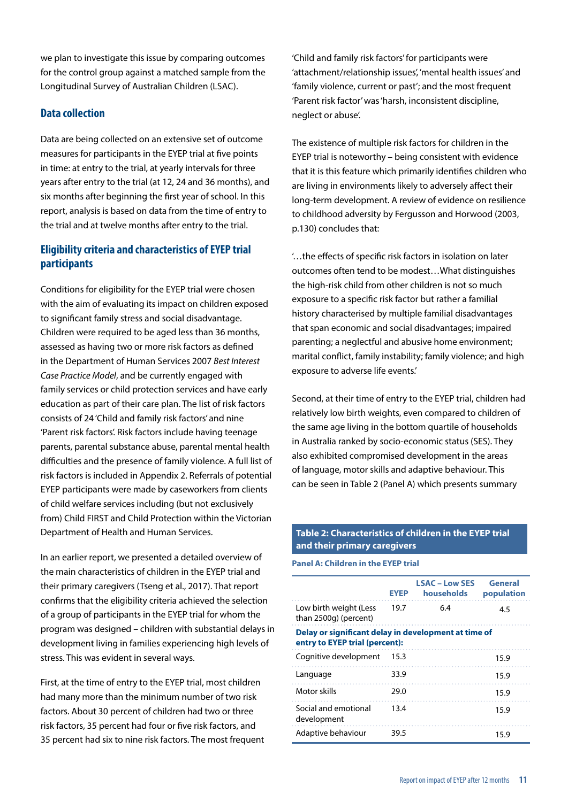we plan to investigate this issue by comparing outcomes for the control group against a matched sample from the Longitudinal Survey of Australian Children (LSAC).

#### **Data collection**

Data are being collected on an extensive set of outcome measures for participants in the EYEP trial at five points in time: at entry to the trial, at yearly intervals for three years after entry to the trial (at 12, 24 and 36 months), and six months after beginning the first year of school. In this report, analysis is based on data from the time of entry to the trial and at twelve months after entry to the trial.

#### **Eligibility criteria and characteristics of EYEP trial participants**

Conditions for eligibility for the EYEP trial were chosen with the aim of evaluating its impact on children exposed to significant family stress and social disadvantage. Children were required to be aged less than 36 months, assessed as having two or more risk factors as defined in the Department of Human Services 2007 *Best Interest Case Practice Model*, and be currently engaged with family services or child protection services and have early education as part of their care plan. The list of risk factors consists of 24 'Child and family risk factors' and nine 'Parent risk factors'. Risk factors include having teenage parents, parental substance abuse, parental mental health difficulties and the presence of family violence. A full list of risk factors is included in Appendix 2. Referrals of potential EYEP participants were made by caseworkers from clients of child welfare services including (but not exclusively from) Child FIRST and Child Protection within the Victorian Department of Health and Human Services.

In an earlier report, we presented a detailed overview of the main characteristics of children in the EYEP trial and their primary caregivers (Tseng et al., 2017). That report confirms that the eligibility criteria achieved the selection of a group of participants in the EYEP trial for whom the program was designed – children with substantial delays in development living in families experiencing high levels of stress. This was evident in several ways.

First, at the time of entry to the EYEP trial, most children had many more than the minimum number of two risk factors. About 30 percent of children had two or three risk factors, 35 percent had four or five risk factors, and 35 percent had six to nine risk factors. The most frequent

'Child and family risk factors' for participants were 'attachment/relationship issues', 'mental health issues' and 'family violence, current or past'; and the most frequent 'Parent risk factor' was 'harsh, inconsistent discipline, neglect or abuse'.

The existence of multiple risk factors for children in the EYEP trial is noteworthy – being consistent with evidence that it is this feature which primarily identifies children who are living in environments likely to adversely affect their long-term development. A review of evidence on resilience to childhood adversity by Fergusson and Horwood (2003, p.130) concludes that:

'…the effects of specific risk factors in isolation on later outcomes often tend to be modest…What distinguishes the high-risk child from other children is not so much exposure to a specific risk factor but rather a familial history characterised by multiple familial disadvantages that span economic and social disadvantages; impaired parenting; a neglectful and abusive home environment; marital conflict, family instability; family violence; and high exposure to adverse life events.'

Second, at their time of entry to the EYEP trial, children had relatively low birth weights, even compared to children of the same age living in the bottom quartile of households in Australia ranked by socio-economic status (SES). They also exhibited compromised development in the areas of language, motor skills and adaptive behaviour. This can be seen in Table 2 (Panel A) which presents summary

#### **Table 2: Characteristics of children in the EYEP trial and their primary caregivers**

**Panel A: Children in the EYEP trial**

|                                                                                        | <b>EYEP</b> | <b>LSAC – Low SES</b><br>households | General<br>population |
|----------------------------------------------------------------------------------------|-------------|-------------------------------------|-----------------------|
| Low birth weight (Less<br>than 2500g) (percent)                                        | 19.7        | 6.4                                 | 4.5                   |
| Delay or significant delay in development at time of<br>entry to EYEP trial (percent): |             |                                     |                       |
| Cognitive development                                                                  | 15.3        |                                     | 15.9                  |
| Language                                                                               | 33.9        |                                     | 15.9                  |
| Motor skills                                                                           | 29.0        |                                     | 15.9                  |
| Social and emotional<br>development                                                    | 13.4        |                                     | 15.9                  |
| Adaptive behaviour                                                                     | 39.5        |                                     | 15.9                  |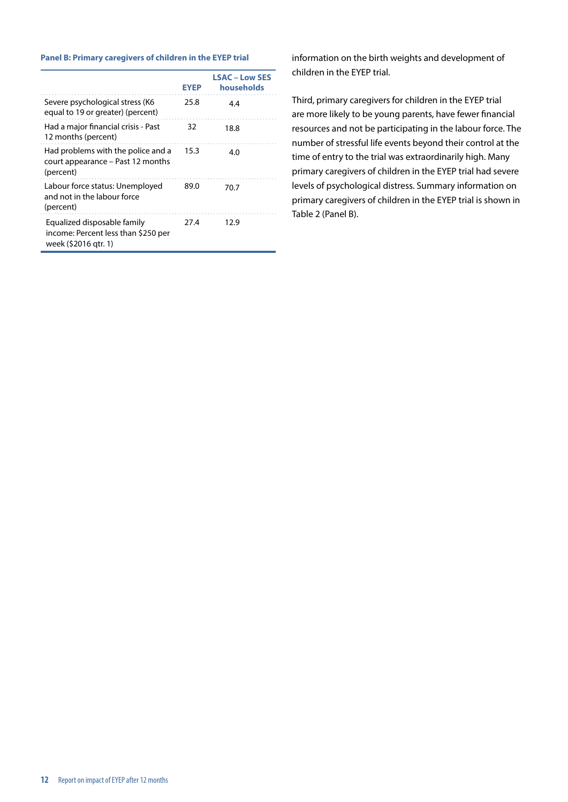#### **Panel B: Primary caregivers of children in the EYEP trial**

|                                                                                            | EYEP | <b>LSAC - Low SES</b><br>households |
|--------------------------------------------------------------------------------------------|------|-------------------------------------|
| Severe psychological stress (K6<br>equal to 19 or greater) (percent)                       | 25.8 | 4.4                                 |
| Had a major financial crisis - Past<br>12 months (percent)                                 | 32   | 18.8                                |
| Had problems with the police and a<br>court appearance - Past 12 months<br>(percent)       | 15.3 | 4.0                                 |
| Labour force status: Unemployed<br>and not in the labour force<br>(percent)                | 89.0 | 70.7                                |
| Equalized disposable family<br>income: Percent less than \$250 per<br>week (\$2016 gtr. 1) | 27.4 | 12.9                                |

information on the birth weights and development of children in the EYEP trial.

Third, primary caregivers for children in the EYEP trial are more likely to be young parents, have fewer financial resources and not be participating in the labour force. The number of stressful life events beyond their control at the time of entry to the trial was extraordinarily high. Many primary caregivers of children in the EYEP trial had severe levels of psychological distress. Summary information on primary caregivers of children in the EYEP trial is shown in Table 2 (Panel B).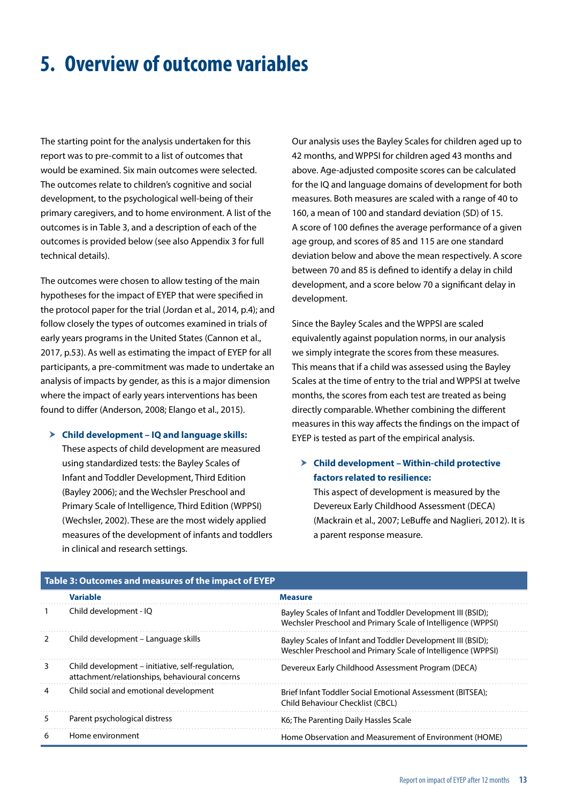### <span id="page-13-0"></span>**5. Overview of outcome variables**

The starting point for the analysis undertaken for this report was to pre-commit to a list of outcomes that would be examined. Six main outcomes were selected. The outcomes relate to children's cognitive and social development, to the psychological well-being of their primary caregivers, and to home environment. A list of the outcomes is in Table 3, and a description of each of the outcomes is provided below (see also Appendix 3 for full technical details).

The outcomes were chosen to allow testing of the main hypotheses for the impact of EYEP that were specified in the protocol paper for the trial (Jordan et al., 2014, p.4); and follow closely the types of outcomes examined in trials of early years programs in the United States (Cannon et al., 2017, p.53). As well as estimating the impact of EYEP for all participants, a pre-commitment was made to undertake an analysis of impacts by gender, as this is a major dimension where the impact of early years interventions has been found to differ (Anderson, 2008; Elango et al., 2015).

#### h **Child development – IQ and language skills:**

These aspects of child development are measured using standardized tests: the Bayley Scales of Infant and Toddler Development, Third Edition (Bayley 2006); and the Wechsler Preschool and Primary Scale of Intelligence, Third Edition (WPPSI) (Wechsler, 2002). These are the most widely applied measures of the development of infants and toddlers in clinical and research settings.

Our analysis uses the Bayley Scales for children aged up to 42 months, and WPPSI for children aged 43 months and above. Age-adjusted composite scores can be calculated for the IQ and language domains of development for both measures. Both measures are scaled with a range of 40 to 160, a mean of 100 and standard deviation (SD) of 15. A score of 100 defines the average performance of a given age group, and scores of 85 and 115 are one standard deviation below and above the mean respectively. A score between 70 and 85 is defined to identify a delay in child development, and a score below 70 a significant delay in development.

Since the Bayley Scales and the WPPSI are scaled equivalently against population norms, in our analysis we simply integrate the scores from these measures. This means that if a child was assessed using the Bayley Scales at the time of entry to the trial and WPPSI at twelve months, the scores from each test are treated as being directly comparable. Whether combining the different measures in this way affects the findings on the impact of EYEP is tested as part of the empirical analysis.

#### h **Child development – Within-child protective factors related to resilience:**

This aspect of development is measured by the Devereux Early Childhood Assessment (DECA) (Mackrain et al., 2007; LeBuffe and Naglieri, 2012). It is a parent response measure.

|   | Table 5: Outcomes and measures of the impact of ETER                                               |                                                                                                                             |
|---|----------------------------------------------------------------------------------------------------|-----------------------------------------------------------------------------------------------------------------------------|
|   | <b>Variable</b>                                                                                    | <b>Measure</b>                                                                                                              |
|   | Child development - IQ                                                                             | Bayley Scales of Infant and Toddler Development III (BSID);<br>Wechsler Preschool and Primary Scale of Intelligence (WPPSI) |
|   | Child development – Language skills                                                                | Bayley Scales of Infant and Toddler Development III (BSID);<br>Weschler Preschool and Primary Scale of Intelligence (WPPSI) |
| 3 | Child development – initiative, self-regulation,<br>attachment/relationships, behavioural concerns | Devereux Early Childhood Assessment Program (DECA)                                                                          |
| 4 | Child social and emotional development                                                             | Brief Infant Toddler Social Emotional Assessment (BITSEA);<br><b>Child Behaviour Checklist (CBCL)</b>                       |
| 5 | Parent psychological distress                                                                      | K6; The Parenting Daily Hassles Scale                                                                                       |
| 6 | Home environment                                                                                   | Home Observation and Measurement of Environment (HOME)                                                                      |

#### **Table 3: Outcomes and measures of the impact of EYEP**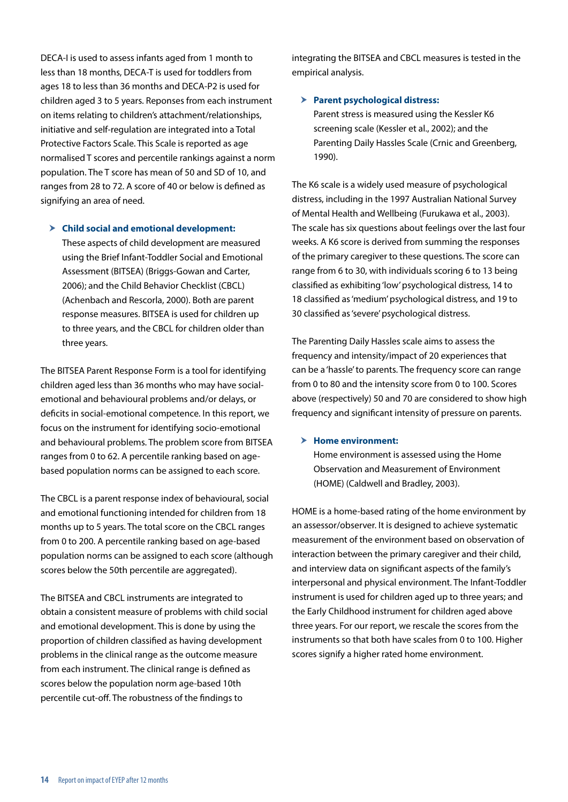DECA-I is used to assess infants aged from 1 month to less than 18 months, DECA-T is used for toddlers from ages 18 to less than 36 months and DECA-P2 is used for children aged 3 to 5 years. Reponses from each instrument on items relating to children's attachment/relationships, initiative and self-regulation are integrated into a Total Protective Factors Scale. This Scale is reported as age normalised T scores and percentile rankings against a norm population. The T score has mean of 50 and SD of 10, and ranges from 28 to 72. A score of 40 or below is defined as signifying an area of need.

h **Child social and emotional development:**

These aspects of child development are measured using the Brief Infant-Toddler Social and Emotional Assessment (BITSEA) (Briggs-Gowan and Carter, 2006); and the Child Behavior Checklist (CBCL) (Achenbach and Rescorla, 2000). Both are parent response measures. BITSEA is used for children up to three years, and the CBCL for children older than three years.

The BITSEA Parent Response Form is a tool for identifying children aged less than 36 months who may have socialemotional and behavioural problems and/or delays, or deficits in social-emotional competence. In this report, we focus on the instrument for identifying socio-emotional and behavioural problems. The problem score from BITSEA ranges from 0 to 62. A percentile ranking based on agebased population norms can be assigned to each score.

The CBCL is a parent response index of behavioural, social and emotional functioning intended for children from 18 months up to 5 years. The total score on the CBCL ranges from 0 to 200. A percentile ranking based on age-based population norms can be assigned to each score (although scores below the 50th percentile are aggregated).

The BITSEA and CBCL instruments are integrated to obtain a consistent measure of problems with child social and emotional development. This is done by using the proportion of children classified as having development problems in the clinical range as the outcome measure from each instrument. The clinical range is defined as scores below the population norm age-based 10th percentile cut-off. The robustness of the findings to

integrating the BITSEA and CBCL measures is tested in the empirical analysis.

#### $\triangleright$  Parent psychological distress:

Parent stress is measured using the Kessler K6 screening scale (Kessler et al., 2002); and the Parenting Daily Hassles Scale (Crnic and Greenberg, 1990).

The K6 scale is a widely used measure of psychological distress, including in the 1997 Australian National Survey of Mental Health and Wellbeing (Furukawa et al., 2003). The scale has six questions about feelings over the last four weeks. A K6 score is derived from summing the responses of the primary caregiver to these questions. The score can range from 6 to 30, with individuals scoring 6 to 13 being classified as exhibiting 'low' psychological distress, 14 to 18 classified as 'medium' psychological distress, and 19 to 30 classified as 'severe' psychological distress.

The Parenting Daily Hassles scale aims to assess the frequency and intensity/impact of 20 experiences that can be a 'hassle' to parents. The frequency score can range from 0 to 80 and the intensity score from 0 to 100. Scores above (respectively) 50 and 70 are considered to show high frequency and significant intensity of pressure on parents.

#### > Home environment:

Home environment is assessed using the Home Observation and Measurement of Environment (HOME) (Caldwell and Bradley, 2003).

HOME is a home-based rating of the home environment by an assessor/observer. It is designed to achieve systematic measurement of the environment based on observation of interaction between the primary caregiver and their child, and interview data on significant aspects of the family's interpersonal and physical environment. The Infant-Toddler instrument is used for children aged up to three years; and the Early Childhood instrument for children aged above three years. For our report, we rescale the scores from the instruments so that both have scales from 0 to 100. Higher scores signify a higher rated home environment.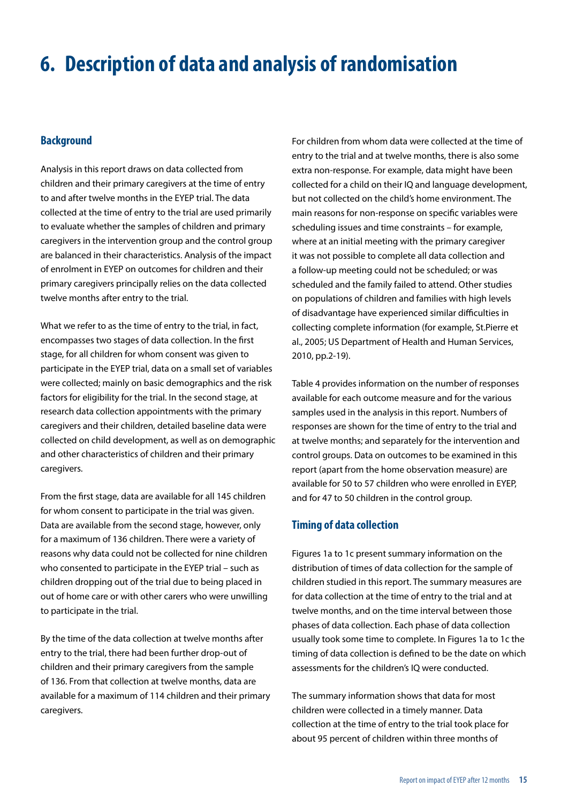### <span id="page-15-0"></span>**6. Description of data and analysis of randomisation**

#### **Background**

Analysis in this report draws on data collected from children and their primary caregivers at the time of entry to and after twelve months in the EYEP trial. The data collected at the time of entry to the trial are used primarily to evaluate whether the samples of children and primary caregivers in the intervention group and the control group are balanced in their characteristics. Analysis of the impact of enrolment in EYEP on outcomes for children and their primary caregivers principally relies on the data collected twelve months after entry to the trial.

What we refer to as the time of entry to the trial, in fact, encompasses two stages of data collection. In the first stage, for all children for whom consent was given to participate in the EYEP trial, data on a small set of variables were collected; mainly on basic demographics and the risk factors for eligibility for the trial. In the second stage, at research data collection appointments with the primary caregivers and their children, detailed baseline data were collected on child development, as well as on demographic and other characteristics of children and their primary caregivers.

From the first stage, data are available for all 145 children for whom consent to participate in the trial was given. Data are available from the second stage, however, only for a maximum of 136 children. There were a variety of reasons why data could not be collected for nine children who consented to participate in the EYEP trial – such as children dropping out of the trial due to being placed in out of home care or with other carers who were unwilling to participate in the trial.

By the time of the data collection at twelve months after entry to the trial, there had been further drop-out of children and their primary caregivers from the sample of 136. From that collection at twelve months, data are available for a maximum of 114 children and their primary caregivers.

For children from whom data were collected at the time of entry to the trial and at twelve months, there is also some extra non-response. For example, data might have been collected for a child on their IQ and language development, but not collected on the child's home environment. The main reasons for non-response on specific variables were scheduling issues and time constraints – for example, where at an initial meeting with the primary caregiver it was not possible to complete all data collection and a follow-up meeting could not be scheduled; or was scheduled and the family failed to attend. Other studies on populations of children and families with high levels of disadvantage have experienced similar difficulties in collecting complete information (for example, St.Pierre et al., 2005; US Department of Health and Human Services, 2010, pp.2-19).

Table 4 provides information on the number of responses available for each outcome measure and for the various samples used in the analysis in this report. Numbers of responses are shown for the time of entry to the trial and at twelve months; and separately for the intervention and control groups. Data on outcomes to be examined in this report (apart from the home observation measure) are available for 50 to 57 children who were enrolled in EYEP, and for 47 to 50 children in the control group.

#### **Timing of data collection**

Figures 1a to 1c present summary information on the distribution of times of data collection for the sample of children studied in this report. The summary measures are for data collection at the time of entry to the trial and at twelve months, and on the time interval between those phases of data collection. Each phase of data collection usually took some time to complete. In Figures 1a to 1c the timing of data collection is defined to be the date on which assessments for the children's IQ were conducted.

The summary information shows that data for most children were collected in a timely manner. Data collection at the time of entry to the trial took place for about 95 percent of children within three months of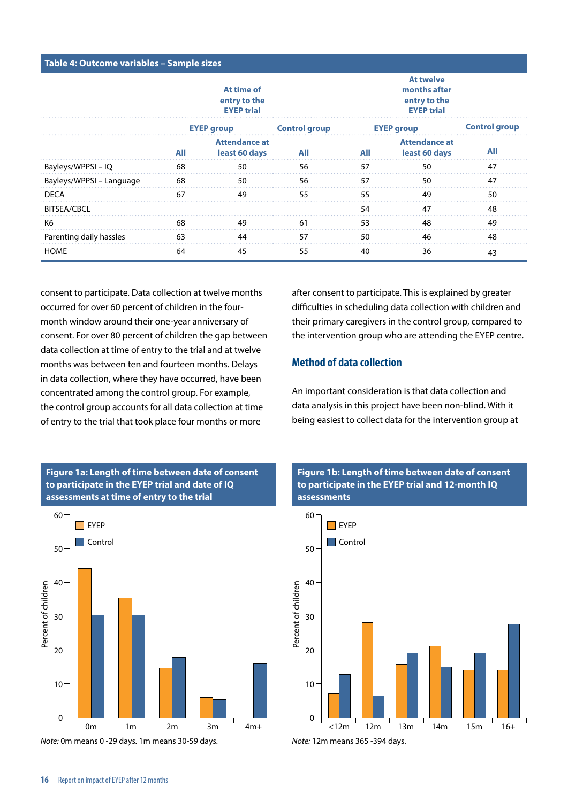| Table 4: Outcome variables - Sample sizes |                                                 |                                       |                      |     |                                                                       |                      |
|-------------------------------------------|-------------------------------------------------|---------------------------------------|----------------------|-----|-----------------------------------------------------------------------|----------------------|
|                                           | At time of<br>entry to the<br><b>EYEP trial</b> |                                       |                      |     | <b>At twelve</b><br>months after<br>entry to the<br><b>EYEP trial</b> |                      |
|                                           |                                                 | <b>EYEP group</b>                     | <b>Control group</b> |     | <b>EYEP group</b>                                                     | <b>Control group</b> |
|                                           | All                                             | <b>Attendance at</b><br>least 60 days | All                  | All | <b>Attendance at</b><br>least 60 days                                 | All                  |
| Bayleys/WPPSI-IQ                          | 68                                              | 50                                    | 56                   | 57  | 50                                                                    | 47                   |
| Bayleys/WPPSI – Language                  | 68                                              | 50                                    | 56                   | 57  | 50                                                                    | 47                   |
| <b>DECA</b>                               | 67                                              | 49                                    | 55                   | 55  | 49                                                                    | 50                   |
| <b>BITSEA/CBCL</b>                        |                                                 |                                       |                      | 54  | 47                                                                    | 48                   |
| K6                                        | 68                                              | 49                                    | 61                   | 53  | 48                                                                    | 49                   |
| Parenting daily hassles                   | 63                                              | 44                                    | 57                   | 50  | 46                                                                    | 48                   |
| <b>HOME</b>                               | 64                                              | 45                                    | 55                   | 40  | 36                                                                    | 43                   |

consent to participate. Data collection at twelve months occurred for over 60 percent of children in the fourmonth window around their one-year anniversary of consent. For over 80 percent of children the gap between data collection at time of entry to the trial and at twelve months was between ten and fourteen months. Delays in data collection, where they have occurred, have been concentrated among the control group. For example, the control group accounts for all data collection at time of entry to the trial that took place four months or more

after consent to participate. This is explained by greater difficulties in scheduling data collection with children and their primary caregivers in the control group, compared to the intervention group who are attending the EYEP centre.

#### **Method of data collection**

An important consideration is that data collection and data analysis in this project have been non-blind. With it being easiest to collect data for the intervention group at



0m 1m 2m 3m 4m+

**Figure 1a: Length of time between date of consent to participate in the EYEP trial and date of IQ** 

*Note:* 0m means 0 -29 days. 1m means 30-59 days.





 $0<sub>1</sub>$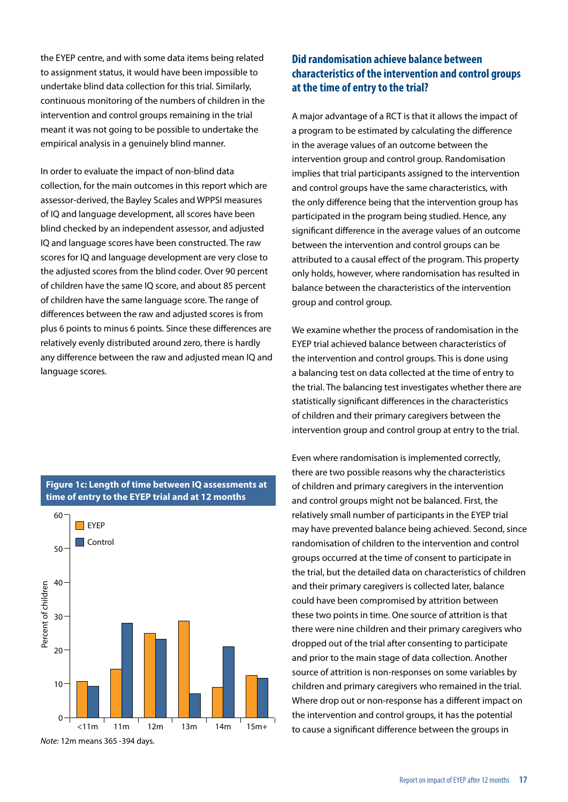the EYEP centre, and with some data items being related to assignment status, it would have been impossible to undertake blind data collection for this trial. Similarly, continuous monitoring of the numbers of children in the intervention and control groups remaining in the trial meant it was not going to be possible to undertake the empirical analysis in a genuinely blind manner.

In order to evaluate the impact of non-blind data collection, for the main outcomes in this report which are assessor-derived, the Bayley Scales and WPPSI measures of IQ and language development, all scores have been blind checked by an independent assessor, and adjusted IQ and language scores have been constructed. The raw scores for IQ and language development are very close to the adjusted scores from the blind coder. Over 90 percent of children have the same IQ score, and about 85 percent of children have the same language score. The range of differences between the raw and adjusted scores is from plus 6 points to minus 6 points. Since these differences are relatively evenly distributed around zero, there is hardly any difference between the raw and adjusted mean IQ and language scores.

### 60  $\blacksquare$  EYEP **Control** 50 40 Percent of children Percent of children 30 20 10

<11m 11m 12m 13m 14m 15m+

#### **Figure 1c: Length of time between IQ assessments at time of entry to the EYEP trial and at 12 months**

#### *Note:* 12m means 365 -394 days.

 $\Omega$ 

#### **Did randomisation achieve balance between characteristics of the intervention and control groups at the time of entry to the trial?**

A major advantage of a RCT is that it allows the impact of a program to be estimated by calculating the difference in the average values of an outcome between the intervention group and control group. Randomisation implies that trial participants assigned to the intervention and control groups have the same characteristics, with the only difference being that the intervention group has participated in the program being studied. Hence, any significant difference in the average values of an outcome between the intervention and control groups can be attributed to a causal effect of the program. This property only holds, however, where randomisation has resulted in balance between the characteristics of the intervention group and control group.

We examine whether the process of randomisation in the EYEP trial achieved balance between characteristics of the intervention and control groups. This is done using a balancing test on data collected at the time of entry to the trial. The balancing test investigates whether there are statistically significant differences in the characteristics of children and their primary caregivers between the intervention group and control group at entry to the trial.

Even where randomisation is implemented correctly, there are two possible reasons why the characteristics of children and primary caregivers in the intervention and control groups might not be balanced. First, the relatively small number of participants in the EYEP trial may have prevented balance being achieved. Second, since randomisation of children to the intervention and control groups occurred at the time of consent to participate in the trial, but the detailed data on characteristics of children and their primary caregivers is collected later, balance could have been compromised by attrition between these two points in time. One source of attrition is that there were nine children and their primary caregivers who dropped out of the trial after consenting to participate and prior to the main stage of data collection. Another source of attrition is non-responses on some variables by children and primary caregivers who remained in the trial. Where drop out or non-response has a different impact on the intervention and control groups, it has the potential to cause a significant difference between the groups in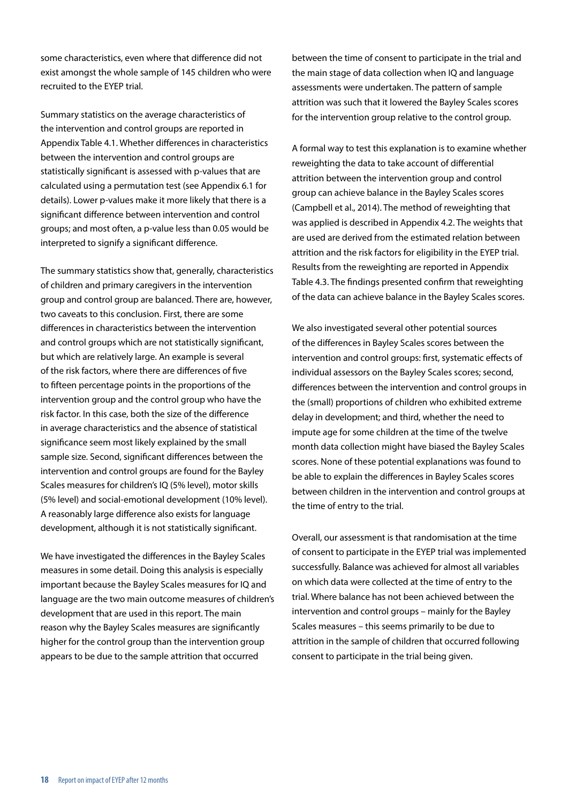some characteristics, even where that difference did not exist amongst the whole sample of 145 children who were recruited to the EYEP trial.

Summary statistics on the average characteristics of the intervention and control groups are reported in Appendix Table 4.1. Whether differences in characteristics between the intervention and control groups are statistically significant is assessed with p-values that are calculated using a permutation test (see Appendix 6.1 for details). Lower p-values make it more likely that there is a significant difference between intervention and control groups; and most often, a p-value less than 0.05 would be interpreted to signify a significant difference.

The summary statistics show that, generally, characteristics of children and primary caregivers in the intervention group and control group are balanced. There are, however, two caveats to this conclusion. First, there are some differences in characteristics between the intervention and control groups which are not statistically significant, but which are relatively large. An example is several of the risk factors, where there are differences of five to fifteen percentage points in the proportions of the intervention group and the control group who have the risk factor. In this case, both the size of the difference in average characteristics and the absence of statistical significance seem most likely explained by the small sample size. Second, significant differences between the intervention and control groups are found for the Bayley Scales measures for children's IQ (5% level), motor skills (5% level) and social-emotional development (10% level). A reasonably large difference also exists for language development, although it is not statistically significant.

We have investigated the differences in the Bayley Scales measures in some detail. Doing this analysis is especially important because the Bayley Scales measures for IQ and language are the two main outcome measures of children's development that are used in this report. The main reason why the Bayley Scales measures are significantly higher for the control group than the intervention group appears to be due to the sample attrition that occurred

between the time of consent to participate in the trial and the main stage of data collection when IQ and language assessments were undertaken. The pattern of sample attrition was such that it lowered the Bayley Scales scores for the intervention group relative to the control group.

A formal way to test this explanation is to examine whether reweighting the data to take account of differential attrition between the intervention group and control group can achieve balance in the Bayley Scales scores (Campbell et al., 2014). The method of reweighting that was applied is described in Appendix 4.2. The weights that are used are derived from the estimated relation between attrition and the risk factors for eligibility in the EYEP trial. Results from the reweighting are reported in Appendix Table 4.3. The findings presented confirm that reweighting of the data can achieve balance in the Bayley Scales scores.

We also investigated several other potential sources of the differences in Bayley Scales scores between the intervention and control groups: first, systematic effects of individual assessors on the Bayley Scales scores; second, differences between the intervention and control groups in the (small) proportions of children who exhibited extreme delay in development; and third, whether the need to impute age for some children at the time of the twelve month data collection might have biased the Bayley Scales scores. None of these potential explanations was found to be able to explain the differences in Bayley Scales scores between children in the intervention and control groups at the time of entry to the trial.

Overall, our assessment is that randomisation at the time of consent to participate in the EYEP trial was implemented successfully. Balance was achieved for almost all variables on which data were collected at the time of entry to the trial. Where balance has not been achieved between the intervention and control groups – mainly for the Bayley Scales measures – this seems primarily to be due to attrition in the sample of children that occurred following consent to participate in the trial being given.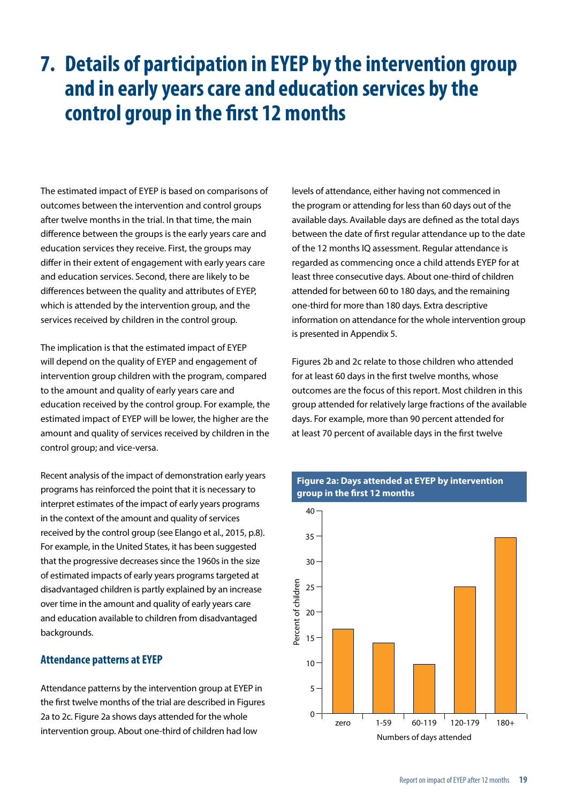### <span id="page-19-0"></span>**7. Details of participation in EYEP by the intervention group and in early years care and education services by the control group in the first 12 months**

The estimated impact of EYEP is based on comparisons of outcomes between the intervention and control groups after twelve months in the trial. In that time, the main difference between the groups is the early years care and education services they receive. First, the groups may differ in their extent of engagement with early years care and education services. Second, there are likely to be differences between the quality and attributes of EYEP, which is attended by the intervention group, and the services received by children in the control group.

The implication is that the estimated impact of EYEP will depend on the quality of EYEP and engagement of intervention group children with the program, compared to the amount and quality of early years care and education received by the control group. For example, the estimated impact of EYEP will be lower, the higher are the amount and quality of services received by children in the control group; and vice-versa.

Recent analysis of the impact of demonstration early years programs has reinforced the point that it is necessary to interpret estimates of the impact of early years programs in the context of the amount and quality of services received by the control group (see Elango et al., 2015, p.8). For example, in the United States, it has been suggested that the progressive decreases since the 1960s in the size of estimated impacts of early years programs targeted at disadvantaged children is partly explained by an increase over time in the amount and quality of early years care and education available to children from disadvantaged backgrounds.

#### **Attendance patterns at EYEP**

Attendance patterns by the intervention group at EYEP in the first twelve months of the trial are described in Figures 2a to 2c. Figure 2a shows days attended for the whole intervention group. About one-third of children had low

levels of attendance, either having not commenced in the program or attending for less than 60 days out of the available days. Available days are defined as the total days between the date of first regular attendance up to the date of the 12 months IQ assessment. Regular attendance is regarded as commencing once a child attends EYEP for at least three consecutive days. About one-third of children attended for between 60 to 180 days, and the remaining one-third for more than 180 days. Extra descriptive information on attendance for the whole intervention group is presented in Appendix 5.

Figures 2b and 2c relate to those children who attended for at least 60 days in the first twelve months, whose outcomes are the focus of this report. Most children in this group attended for relatively large fractions of the available days. For example, more than 90 percent attended for at least 70 percent of available days in the first twelve



#### **Figure 2a: Days attended at EYEP by intervention group in the first 12 months**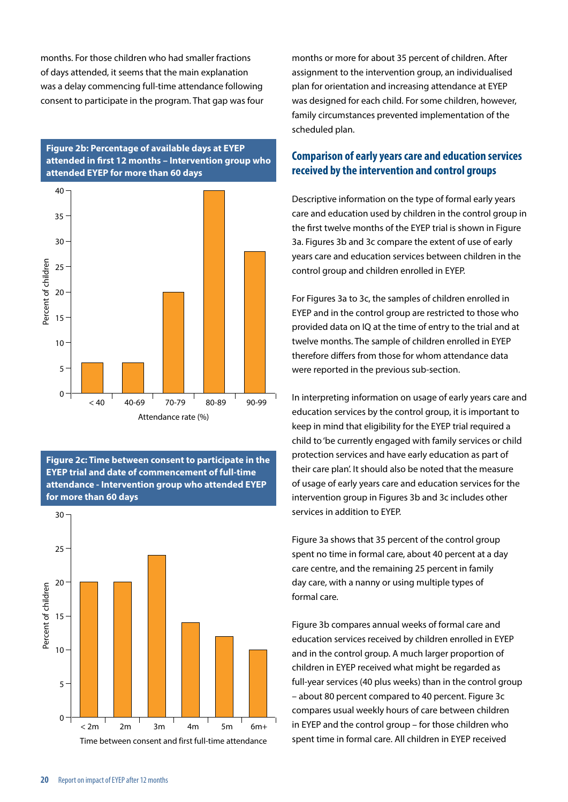months. For those children who had smaller fractions of days attended, it seems that the main explanation was a delay commencing full-time attendance following consent to participate in the program. That gap was four

#### **Figure 2b: Percentage of available days at EYEP attended in first 12 months – Intervention group who attended EYEP for more than 60 days**



**Figure 2c: Time between consent to participate in the EYEP trial and date of commencement of full-time attendance - Intervention group who attended EYEP for more than 60 days**



months or more for about 35 percent of children. After assignment to the intervention group, an individualised plan for orientation and increasing attendance at EYEP was designed for each child. For some children, however, family circumstances prevented implementation of the scheduled plan.

#### **Comparison of early years care and education services received by the intervention and control groups**

Descriptive information on the type of formal early years care and education used by children in the control group in the first twelve months of the EYEP trial is shown in Figure 3a. Figures 3b and 3c compare the extent of use of early years care and education services between children in the control group and children enrolled in EYEP.

For Figures 3a to 3c, the samples of children enrolled in EYEP and in the control group are restricted to those who provided data on IQ at the time of entry to the trial and at twelve months. The sample of children enrolled in EYEP therefore differs from those for whom attendance data were reported in the previous sub-section.

In interpreting information on usage of early years care and education services by the control group, it is important to keep in mind that eligibility for the EYEP trial required a child to 'be currently engaged with family services or child protection services and have early education as part of their care plan'. It should also be noted that the measure of usage of early years care and education services for the intervention group in Figures 3b and 3c includes other services in addition to EYEP.

Figure 3a shows that 35 percent of the control group spent no time in formal care, about 40 percent at a day care centre, and the remaining 25 percent in family day care, with a nanny or using multiple types of formal care.

Figure 3b compares annual weeks of formal care and education services received by children enrolled in EYEP and in the control group. A much larger proportion of children in EYEP received what might be regarded as full-year services (40 plus weeks) than in the control group – about 80 percent compared to 40 percent. Figure 3c compares usual weekly hours of care between children in EYEP and the control group – for those children who spent time in formal care. All children in EYEP received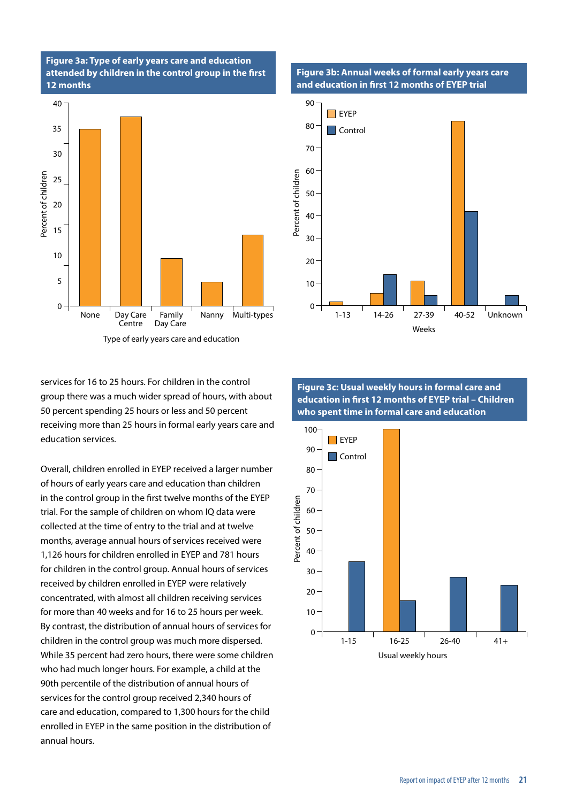#### **Figure 3a: Type of early years care and education attended by children in the control group in the first 12 months**



services for 16 to 25 hours. For children in the control group there was a much wider spread of hours, with about 50 percent spending 25 hours or less and 50 percent receiving more than 25 hours in formal early years care and education services.

Eventy 25<br>
The 20<br>
The 20<br>
The 20<br>
The 20<br>
The 20<br>
The 10<br>
The 10<br>
The 10<br>
The 10<br>
The 10<br>
Non-<br>
So percent speed<br>
The Receiving more<br>
education server of caling the control<br>
trial. For the sa<br>
collected at the months, ave Overall, children enrolled in EYEP received a larger number of hours of early years care and education than children in the control group in the first twelve months of the EYEP trial. For the sample of children on whom IQ data were collected at the time of entry to the trial and at twelve months, average annual hours of services received were 1,126 hours for children enrolled in EYEP and 781 hours for children in the control group. Annual hours of services received by children enrolled in EYEP were relatively concentrated, with almost all children receiving services for more than 40 weeks and for 16 to 25 hours per week. By contrast, the distribution of annual hours of services for children in the control group was much more dispersed. While 35 percent had zero hours, there were some children who had much longer hours. For example, a child at the 90th percentile of the distribution of annual hours of services for the control group received 2,340 hours of care and education, compared to 1,300 hours for the child enrolled in EYEP in the same position in the distribution of annual hours.

#### **Figure 3b: Annual weeks of formal early years care and education in first 12 months of EYEP trial**



**Figure 3c: Usual weekly hours in formal care and education in first 12 months of EYEP trial – Children who spent time in formal care and education**

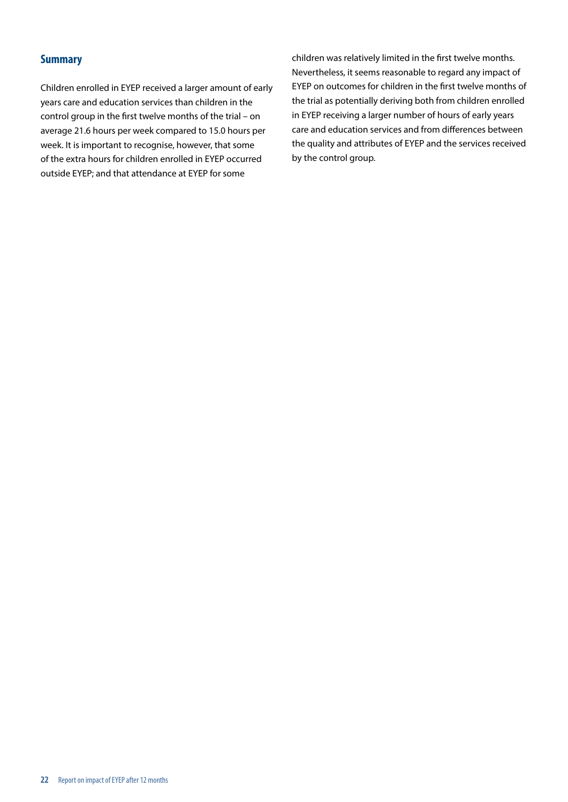#### **Summary**

Children enrolled in EYEP received a larger amount of early years care and education services than children in the control group in the first twelve months of the trial – on average 21.6 hours per week compared to 15.0 hours per week. It is important to recognise, however, that some of the extra hours for children enrolled in EYEP occurred outside EYEP; and that attendance at EYEP for some

children was relatively limited in the first twelve months. Nevertheless, it seems reasonable to regard any impact of EYEP on outcomes for children in the first twelve months of the trial as potentially deriving both from children enrolled in EYEP receiving a larger number of hours of early years care and education services and from differences between the quality and attributes of EYEP and the services received by the control group.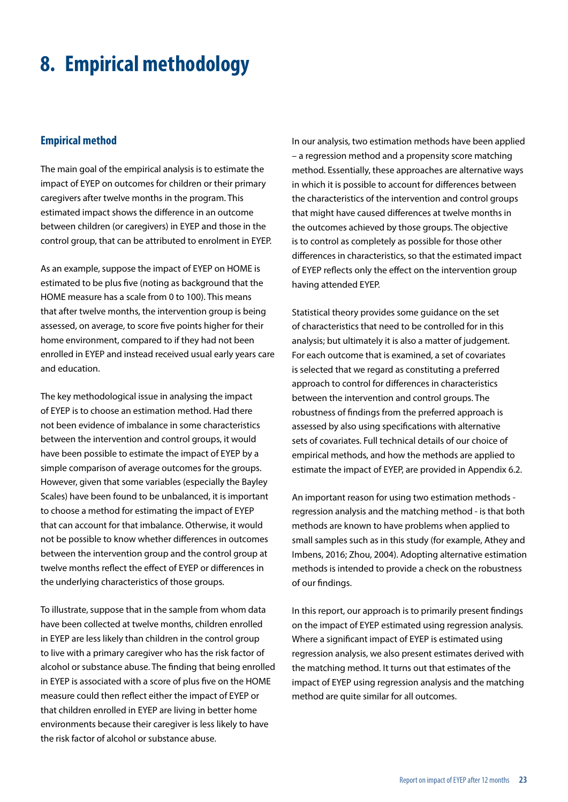### <span id="page-23-0"></span>**8. Empirical methodology**

#### **Empirical method**

The main goal of the empirical analysis is to estimate the impact of EYEP on outcomes for children or their primary caregivers after twelve months in the program. This estimated impact shows the difference in an outcome between children (or caregivers) in EYEP and those in the control group, that can be attributed to enrolment in EYEP.

As an example, suppose the impact of EYEP on HOME is estimated to be plus five (noting as background that the HOME measure has a scale from 0 to 100). This means that after twelve months, the intervention group is being assessed, on average, to score five points higher for their home environment, compared to if they had not been enrolled in EYEP and instead received usual early years care and education.

The key methodological issue in analysing the impact of EYEP is to choose an estimation method. Had there not been evidence of imbalance in some characteristics between the intervention and control groups, it would have been possible to estimate the impact of EYEP by a simple comparison of average outcomes for the groups. However, given that some variables (especially the Bayley Scales) have been found to be unbalanced, it is important to choose a method for estimating the impact of EYEP that can account for that imbalance. Otherwise, it would not be possible to know whether differences in outcomes between the intervention group and the control group at twelve months reflect the effect of EYEP or differences in the underlying characteristics of those groups.

To illustrate, suppose that in the sample from whom data have been collected at twelve months, children enrolled in EYEP are less likely than children in the control group to live with a primary caregiver who has the risk factor of alcohol or substance abuse. The finding that being enrolled in EYEP is associated with a score of plus five on the HOME measure could then reflect either the impact of EYEP or that children enrolled in EYEP are living in better home environments because their caregiver is less likely to have the risk factor of alcohol or substance abuse.

In our analysis, two estimation methods have been applied – a regression method and a propensity score matching method. Essentially, these approaches are alternative ways in which it is possible to account for differences between the characteristics of the intervention and control groups that might have caused differences at twelve months in the outcomes achieved by those groups. The objective is to control as completely as possible for those other differences in characteristics, so that the estimated impact of EYEP reflects only the effect on the intervention group having attended EYEP.

Statistical theory provides some guidance on the set of characteristics that need to be controlled for in this analysis; but ultimately it is also a matter of judgement. For each outcome that is examined, a set of covariates is selected that we regard as constituting a preferred approach to control for differences in characteristics between the intervention and control groups. The robustness of findings from the preferred approach is assessed by also using specifications with alternative sets of covariates. Full technical details of our choice of empirical methods, and how the methods are applied to estimate the impact of EYEP, are provided in Appendix 6.2.

An important reason for using two estimation methods regression analysis and the matching method - is that both methods are known to have problems when applied to small samples such as in this study (for example, Athey and Imbens, 2016; Zhou, 2004). Adopting alternative estimation methods is intended to provide a check on the robustness of our findings.

In this report, our approach is to primarily present findings on the impact of EYEP estimated using regression analysis. Where a significant impact of EYEP is estimated using regression analysis, we also present estimates derived with the matching method. It turns out that estimates of the impact of EYEP using regression analysis and the matching method are quite similar for all outcomes.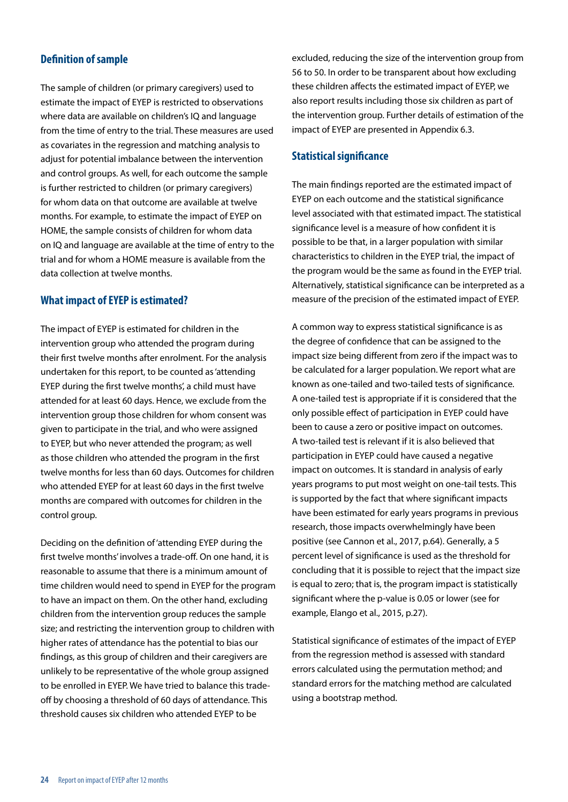#### **Definition of sample**

The sample of children (or primary caregivers) used to estimate the impact of EYEP is restricted to observations where data are available on children's IQ and language from the time of entry to the trial. These measures are used as covariates in the regression and matching analysis to adjust for potential imbalance between the intervention and control groups. As well, for each outcome the sample is further restricted to children (or primary caregivers) for whom data on that outcome are available at twelve months. For example, to estimate the impact of EYEP on HOME, the sample consists of children for whom data on IQ and language are available at the time of entry to the trial and for whom a HOME measure is available from the data collection at twelve months.

#### **What impact of EYEP is estimated?**

The impact of EYEP is estimated for children in the intervention group who attended the program during their first twelve months after enrolment. For the analysis undertaken for this report, to be counted as 'attending EYEP during the first twelve months', a child must have attended for at least 60 days. Hence, we exclude from the intervention group those children for whom consent was given to participate in the trial, and who were assigned to EYEP, but who never attended the program; as well as those children who attended the program in the first twelve months for less than 60 days. Outcomes for children who attended EYEP for at least 60 days in the first twelve months are compared with outcomes for children in the control group.

Deciding on the definition of 'attending EYEP during the first twelve months' involves a trade-off. On one hand, it is reasonable to assume that there is a minimum amount of time children would need to spend in EYEP for the program to have an impact on them. On the other hand, excluding children from the intervention group reduces the sample size; and restricting the intervention group to children with higher rates of attendance has the potential to bias our findings, as this group of children and their caregivers are unlikely to be representative of the whole group assigned to be enrolled in EYEP. We have tried to balance this tradeoff by choosing a threshold of 60 days of attendance. This threshold causes six children who attended EYEP to be

excluded, reducing the size of the intervention group from 56 to 50. In order to be transparent about how excluding these children affects the estimated impact of EYEP, we also report results including those six children as part of the intervention group. Further details of estimation of the impact of EYEP are presented in Appendix 6.3.

#### **Statistical significance**

The main findings reported are the estimated impact of EYEP on each outcome and the statistical significance level associated with that estimated impact. The statistical significance level is a measure of how confident it is possible to be that, in a larger population with similar characteristics to children in the EYEP trial, the impact of the program would be the same as found in the EYEP trial. Alternatively, statistical significance can be interpreted as a measure of the precision of the estimated impact of EYEP.

A common way to express statistical significance is as the degree of confidence that can be assigned to the impact size being different from zero if the impact was to be calculated for a larger population. We report what are known as one-tailed and two-tailed tests of significance. A one-tailed test is appropriate if it is considered that the only possible effect of participation in EYEP could have been to cause a zero or positive impact on outcomes. A two-tailed test is relevant if it is also believed that participation in EYEP could have caused a negative impact on outcomes. It is standard in analysis of early years programs to put most weight on one-tail tests. This is supported by the fact that where significant impacts have been estimated for early years programs in previous research, those impacts overwhelmingly have been positive (see Cannon et al., 2017, p.64). Generally, a 5 percent level of significance is used as the threshold for concluding that it is possible to reject that the impact size is equal to zero; that is, the program impact is statistically significant where the p-value is 0.05 or lower (see for example, Elango et al., 2015, p.27).

Statistical significance of estimates of the impact of EYEP from the regression method is assessed with standard errors calculated using the permutation method; and standard errors for the matching method are calculated using a bootstrap method.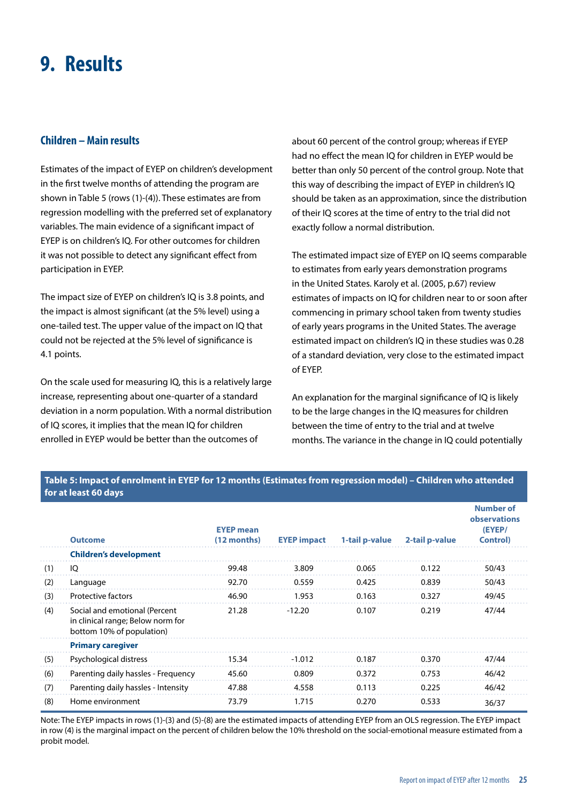### <span id="page-25-0"></span>**9. Results**

#### **Children – Main results**

Estimates of the impact of EYEP on children's development in the first twelve months of attending the program are shown in Table 5 (rows (1)-(4)). These estimates are from regression modelling with the preferred set of explanatory variables. The main evidence of a significant impact of EYEP is on children's IQ. For other outcomes for children it was not possible to detect any significant effect from participation in EYEP.

The impact size of EYEP on children's IQ is 3.8 points, and the impact is almost significant (at the 5% level) using a one-tailed test. The upper value of the impact on IQ that could not be rejected at the 5% level of significance is 4.1 points.

On the scale used for measuring IQ, this is a relatively large increase, representing about one-quarter of a standard deviation in a norm population. With a normal distribution of IQ scores, it implies that the mean IQ for children enrolled in EYEP would be better than the outcomes of

about 60 percent of the control group; whereas if EYEP had no effect the mean IQ for children in EYEP would be better than only 50 percent of the control group. Note that this way of describing the impact of EYEP in children's IQ should be taken as an approximation, since the distribution of their IQ scores at the time of entry to the trial did not exactly follow a normal distribution.

The estimated impact size of EYEP on IQ seems comparable to estimates from early years demonstration programs in the United States. Karoly et al. (2005, p.67) review estimates of impacts on IQ for children near to or soon after commencing in primary school taken from twenty studies of early years programs in the United States. The average estimated impact on children's IQ in these studies was 0.28 of a standard deviation, very close to the estimated impact of EYEP.

An explanation for the marginal significance of IQ is likely to be the large changes in the IQ measures for children between the time of entry to the trial and at twelve months. The variance in the change in IQ could potentially

#### **Table 5: Impact of enrolment in EYEP for 12 months (Estimates from regression model) – Children who attended for at least 60 days**

|     | <b>Outcome</b>                                                                                  | <b>EYEP</b> mean<br>$(12$ months) | <b>EYEP impact</b> | 1-tail p-value | 2-tail p-value | <b>Number of</b><br>observations<br>(EYEP/<br><b>Control</b> ) |
|-----|-------------------------------------------------------------------------------------------------|-----------------------------------|--------------------|----------------|----------------|----------------------------------------------------------------|
|     | <b>Children's development</b>                                                                   |                                   |                    |                |                |                                                                |
| (1) | Ю                                                                                               | 99.48                             | 3.809              | 0.065          | 0.122          | 50/43                                                          |
| (2) | Language                                                                                        | 92.70                             | 0.559              | 0.425          | 0.839          | 50/43                                                          |
| (3) | Protective factors                                                                              | 46.90                             | 1.953              | 0.163          | 0.327          | 49/45                                                          |
| (4) | Social and emotional (Percent<br>in clinical range; Below norm for<br>bottom 10% of population) | 21.28                             | $-12.20$           | 0.107          | 0.219          | 47/44                                                          |
|     | <b>Primary caregiver</b>                                                                        |                                   |                    |                |                |                                                                |
| (5) | Psychological distress                                                                          | 15.34                             | $-1.012$           | 0.187          | 0.370          | 47/44                                                          |
| (6) | Parenting daily hassles - Frequency                                                             | 45.60                             | 0.809              | 0.372          | 0.753          | 46/42                                                          |
| (7) | Parenting daily hassles - Intensity                                                             | 47.88                             | 4.558              | 0.113          | 0.225          | 46/42                                                          |
| (8) | Home environment                                                                                | 73.79                             | 1.715              | 0.270          | 0.533          | 36/37                                                          |

Note: The EYEP impacts in rows (1)-(3) and (5)-(8) are the estimated impacts of attending EYEP from an OLS regression. The EYEP impact in row (4) is the marginal impact on the percent of children below the 10% threshold on the social-emotional measure estimated from a probit model.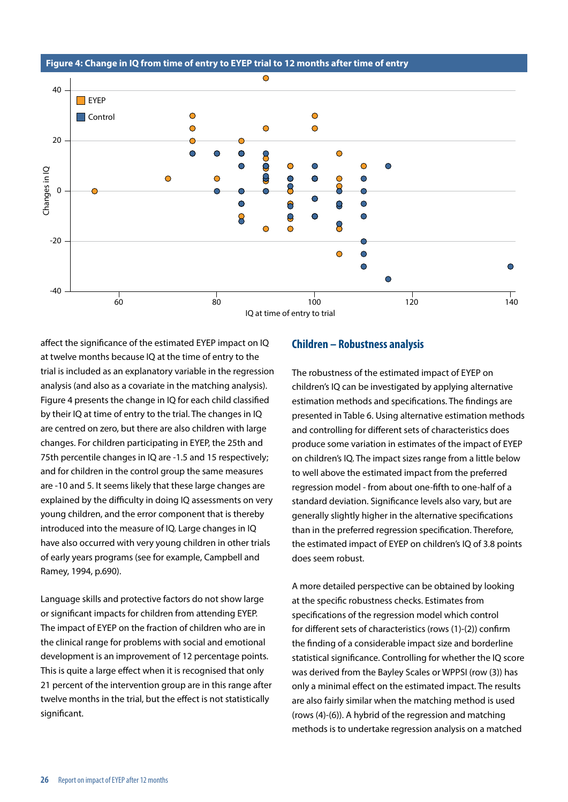$\bigcap$ 40  $\Box$  EYEP  $\bigcirc$  $\bullet$ **Control**  $\bigcirc$  $\bigcirc$  $\bullet$ 20  $\bigcirc$  $\bullet$  $\bullet$  $\bullet$  $\bullet$ 0000  $\bullet$  $\bigcap$  $\bigcirc$  $\bigcap$  $\bigcap$ Changes in IQ Changes in IQ  $\overline{\mathbf{S}}$  $\bigcirc$  $\bullet$  $\bullet$  $\bigcirc$  $\mathsf{S}$  $\mathbf 0$ ⌒ ⌒  $\bullet$  $\overline{0}$  $\bullet$  $\overline{Q}$  $\overline{\mathsf{O}}$ 8  $\bullet$  $\overline{C}$  $\overline{O}$ 8  $\sqrt{2}$  $\bigcirc$  $-20$ ∩  $\bigcirc$  $\bigcirc$  $\bigcap$  $\bigcirc$  $\bigcap$ -40 60 80 100 120 140 IQ at time of entry to trial

**Figure 4: Change in IQ from time of entry to EYEP trial to 12 months after time of entry** 

affect the significance of the estimated EYEP impact on IQ at twelve months because IQ at the time of entry to the trial is included as an explanatory variable in the regression analysis (and also as a covariate in the matching analysis). Figure 4 presents the change in IQ for each child classified by their IQ at time of entry to the trial. The changes in IQ are centred on zero, but there are also children with large changes. For children participating in EYEP, the 25th and 75th percentile changes in IQ are -1.5 and 15 respectively; and for children in the control group the same measures are -10 and 5. It seems likely that these large changes are explained by the difficulty in doing IQ assessments on very young children, and the error component that is thereby introduced into the measure of IQ. Large changes in IQ have also occurred with very young children in other trials of early years programs (see for example, Campbell and Ramey, 1994, p.690).

Language skills and protective factors do not show large or significant impacts for children from attending EYEP. The impact of EYEP on the fraction of children who are in the clinical range for problems with social and emotional development is an improvement of 12 percentage points. This is quite a large effect when it is recognised that only 21 percent of the intervention group are in this range after twelve months in the trial, but the effect is not statistically significant.

#### **Children – Robustness analysis**

The robustness of the estimated impact of EYEP on children's IQ can be investigated by applying alternative estimation methods and specifications. The findings are presented in Table 6. Using alternative estimation methods and controlling for different sets of characteristics does produce some variation in estimates of the impact of EYEP on children's IQ. The impact sizes range from a little below to well above the estimated impact from the preferred regression model - from about one-fifth to one-half of a standard deviation. Significance levels also vary, but are generally slightly higher in the alternative specifications than in the preferred regression specification. Therefore, the estimated impact of EYEP on children's IQ of 3.8 points does seem robust.

A more detailed perspective can be obtained by looking at the specific robustness checks. Estimates from specifications of the regression model which control for different sets of characteristics (rows (1)-(2)) confirm the finding of a considerable impact size and borderline statistical significance. Controlling for whether the IQ score was derived from the Bayley Scales or WPPSI (row (3)) has only a minimal effect on the estimated impact. The results are also fairly similar when the matching method is used (rows (4)-(6)). A hybrid of the regression and matching methods is to undertake regression analysis on a matched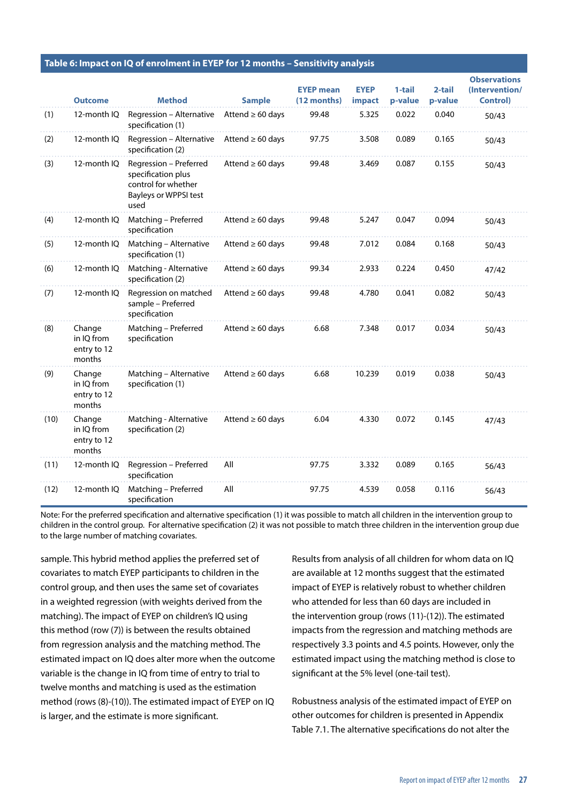|  | Table 6: Impact on IQ of enrolment in EYEP for 12 months – Sensitivity analysis |  |  |
|--|---------------------------------------------------------------------------------|--|--|
|--|---------------------------------------------------------------------------------|--|--|

|      | <b>Outcome</b>                                | <b>Method</b>                                                                                        | <b>Sample</b>         | <b>EYEP mean</b><br>(12 months) | <b>EYEP</b><br>impact | 1-tail<br>p-value | 2-tail<br>p-value | <b>Observations</b><br>(Intervention/<br><b>Control)</b> |
|------|-----------------------------------------------|------------------------------------------------------------------------------------------------------|-----------------------|---------------------------------|-----------------------|-------------------|-------------------|----------------------------------------------------------|
| (1)  | 12-month IQ                                   | Regression - Alternative<br>specification (1)                                                        | Attend $\geq 60$ days | 99.48                           | 5.325                 | 0.022             | 0.040             | 50/43                                                    |
| (2)  | 12-month IQ                                   | Regression - Alternative<br>specification (2)                                                        | Attend $\geq 60$ days | 97.75                           | 3.508                 | 0.089             | 0.165             | 50/43                                                    |
| (3)  | 12-month IQ                                   | Regression - Preferred<br>specification plus<br>control for whether<br>Bayleys or WPPSI test<br>used | Attend $\geq 60$ days | 99.48                           | 3.469                 | 0.087             | 0.155             | 50/43                                                    |
| (4)  | 12-month IQ                                   | Matching - Preferred<br>specification                                                                | Attend $\geq 60$ days | 99.48                           | 5.247                 | 0.047             | 0.094             | 50/43                                                    |
| (5)  | 12-month IQ                                   | Matching - Alternative<br>specification (1)                                                          | Attend $\geq 60$ days | 99.48                           | 7.012                 | 0.084             | 0.168             | 50/43                                                    |
| (6)  | 12-month IQ                                   | Matching - Alternative<br>specification (2)                                                          | Attend $\geq 60$ days | 99.34                           | 2.933                 | 0.224             | 0.450             | 47/42                                                    |
| (7)  | 12-month IQ                                   | Regression on matched<br>sample - Preferred<br>specification                                         | Attend $\geq 60$ days | 99.48                           | 4.780                 | 0.041             | 0.082             | 50/43                                                    |
| (8)  | Change<br>in IO from<br>entry to 12<br>months | Matching - Preferred<br>specification                                                                | Attend $\geq 60$ days | 6.68                            | 7.348                 | 0.017             | 0.034             | 50/43                                                    |
| (9)  | Change<br>in IO from<br>entry to 12<br>months | Matching - Alternative<br>specification (1)                                                          | Attend $\geq 60$ days | 6.68                            | 10.239                | 0.019             | 0.038             | 50/43                                                    |
| (10) | Change<br>in IO from<br>entry to 12<br>months | Matching - Alternative<br>specification (2)                                                          | Attend $\geq 60$ days | 6.04                            | 4.330                 | 0.072             | 0.145             | 47/43                                                    |
| (11) | 12-month IQ                                   | Regression - Preferred<br>specification                                                              | All                   | 97.75                           | 3.332                 | 0.089             | 0.165             | 56/43                                                    |
| (12) | 12-month IQ                                   | Matching - Preferred<br>specification                                                                | All                   | 97.75                           | 4.539                 | 0.058             | 0.116             | 56/43                                                    |

Note: For the preferred specification and alternative specification (1) it was possible to match all children in the intervention group to children in the control group. For alternative specification (2) it was not possible to match three children in the intervention group due to the large number of matching covariates.

sample. This hybrid method applies the preferred set of covariates to match EYEP participants to children in the control group, and then uses the same set of covariates in a weighted regression (with weights derived from the matching). The impact of EYEP on children's IQ using this method (row (7)) is between the results obtained from regression analysis and the matching method. The estimated impact on IQ does alter more when the outcome variable is the change in IQ from time of entry to trial to twelve months and matching is used as the estimation method (rows (8)-(10)). The estimated impact of EYEP on IQ is larger, and the estimate is more significant.

Results from analysis of all children for whom data on IQ are available at 12 months suggest that the estimated impact of EYEP is relatively robust to whether children who attended for less than 60 days are included in the intervention group (rows (11)-(12)). The estimated impacts from the regression and matching methods are respectively 3.3 points and 4.5 points. However, only the estimated impact using the matching method is close to significant at the 5% level (one-tail test).

Robustness analysis of the estimated impact of EYEP on other outcomes for children is presented in Appendix Table 7.1. The alternative specifications do not alter the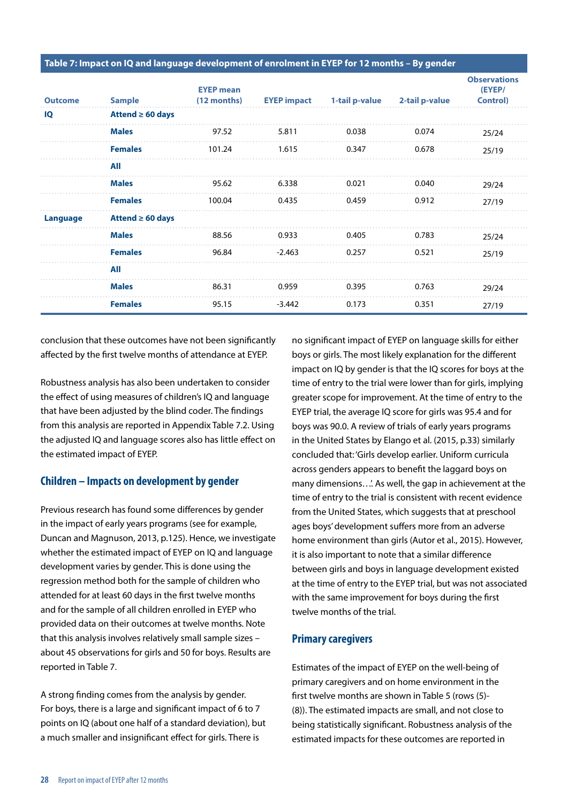**Table 7: Impact on IQ and language development of enrolment in EYEP for 12 months – By gender**

| <b>Outcome</b>  | <b>Sample</b>         | <b>EYEP mean</b><br>$(12$ months) | <b>EYEP impact</b> | 1-tail p-value | 2-tail p-value | <b>Observations</b><br>(EYEP/<br>Control) |
|-----------------|-----------------------|-----------------------------------|--------------------|----------------|----------------|-------------------------------------------|
| IQ              | Attend $\geq 60$ days |                                   |                    |                |                |                                           |
|                 | <b>Males</b>          | 97.52                             | 5.811              | 0.038          | 0.074          | 25/24                                     |
|                 | <b>Females</b>        | 101.24                            | 1.615              | 0.347          | 0.678          | 25/19                                     |
|                 | All                   |                                   |                    |                |                |                                           |
|                 | <b>Males</b>          | 95.62                             | 6.338              | 0.021          | 0.040          | 29/24                                     |
|                 | <b>Females</b>        | 100.04                            | 0.435              | 0.459          | 0.912          | 27/19                                     |
| <b>Language</b> | Attend $\geq 60$ days |                                   |                    |                |                |                                           |
|                 | <b>Males</b>          | 88.56                             | 0.933              | 0.405          | 0.783          | 25/24                                     |
|                 | <b>Females</b>        | 96.84                             | $-2.463$           | 0.257          | 0.521          | 25/19                                     |
|                 | All                   |                                   |                    |                |                |                                           |
|                 | <b>Males</b>          | 86.31                             | 0.959              | 0.395          | 0.763          | 29/24                                     |
|                 | <b>Females</b>        | 95.15                             | $-3.442$           | 0.173          | 0.351          | 27/19                                     |

conclusion that these outcomes have not been significantly affected by the first twelve months of attendance at EYEP.

Robustness analysis has also been undertaken to consider the effect of using measures of children's IQ and language that have been adjusted by the blind coder. The findings from this analysis are reported in Appendix Table 7.2. Using the adjusted IQ and language scores also has little effect on the estimated impact of EYEP.

#### **Children – Impacts on development by gender**

Previous research has found some differences by gender in the impact of early years programs (see for example, Duncan and Magnuson, 2013, p.125). Hence, we investigate whether the estimated impact of EYEP on IQ and language development varies by gender. This is done using the regression method both for the sample of children who attended for at least 60 days in the first twelve months and for the sample of all children enrolled in EYEP who provided data on their outcomes at twelve months. Note that this analysis involves relatively small sample sizes – about 45 observations for girls and 50 for boys. Results are reported in Table 7.

A strong finding comes from the analysis by gender. For boys, there is a large and significant impact of 6 to 7 points on IQ (about one half of a standard deviation), but a much smaller and insignificant effect for girls. There is

no significant impact of EYEP on language skills for either boys or girls. The most likely explanation for the different impact on IQ by gender is that the IQ scores for boys at the time of entry to the trial were lower than for girls, implying greater scope for improvement. At the time of entry to the EYEP trial, the average IQ score for girls was 95.4 and for boys was 90.0. A review of trials of early years programs in the United States by Elango et al. (2015, p.33) similarly concluded that: 'Girls develop earlier. Uniform curricula across genders appears to benefit the laggard boys on many dimensions...'. As well, the gap in achievement at the time of entry to the trial is consistent with recent evidence from the United States, which suggests that at preschool ages boys' development suffers more from an adverse home environment than girls (Autor et al., 2015). However, it is also important to note that a similar difference between girls and boys in language development existed at the time of entry to the EYEP trial, but was not associated with the same improvement for boys during the first twelve months of the trial.

#### **Primary caregivers**

Estimates of the impact of EYEP on the well-being of primary caregivers and on home environment in the first twelve months are shown in Table 5 (rows (5)- (8)). The estimated impacts are small, and not close to being statistically significant. Robustness analysis of the estimated impacts for these outcomes are reported in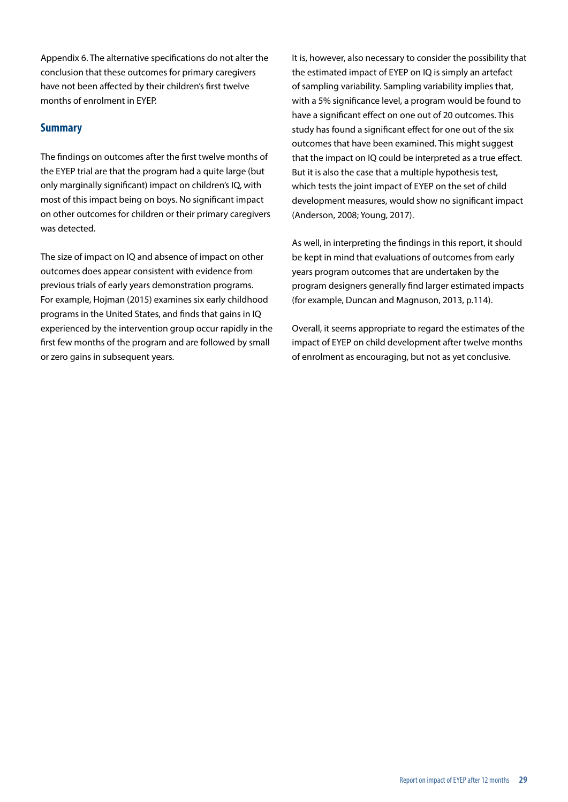Appendix 6. The alternative specifications do not alter the conclusion that these outcomes for primary caregivers have not been affected by their children's first twelve months of enrolment in EYEP.

#### **Summary**

The findings on outcomes after the first twelve months of the EYEP trial are that the program had a quite large (but only marginally significant) impact on children's IQ, with most of this impact being on boys. No significant impact on other outcomes for children or their primary caregivers was detected.

The size of impact on IQ and absence of impact on other outcomes does appear consistent with evidence from previous trials of early years demonstration programs. For example, Hojman (2015) examines six early childhood programs in the United States, and finds that gains in IQ experienced by the intervention group occur rapidly in the first few months of the program and are followed by small or zero gains in subsequent years.

It is, however, also necessary to consider the possibility that the estimated impact of EYEP on IQ is simply an artefact of sampling variability. Sampling variability implies that, with a 5% significance level, a program would be found to have a significant effect on one out of 20 outcomes. This study has found a significant effect for one out of the six outcomes that have been examined. This might suggest that the impact on IQ could be interpreted as a true effect. But it is also the case that a multiple hypothesis test, which tests the joint impact of EYEP on the set of child development measures, would show no significant impact (Anderson, 2008; Young, 2017).

As well, in interpreting the findings in this report, it should be kept in mind that evaluations of outcomes from early years program outcomes that are undertaken by the program designers generally find larger estimated impacts (for example, Duncan and Magnuson, 2013, p.114).

Overall, it seems appropriate to regard the estimates of the impact of EYEP on child development after twelve months of enrolment as encouraging, but not as yet conclusive.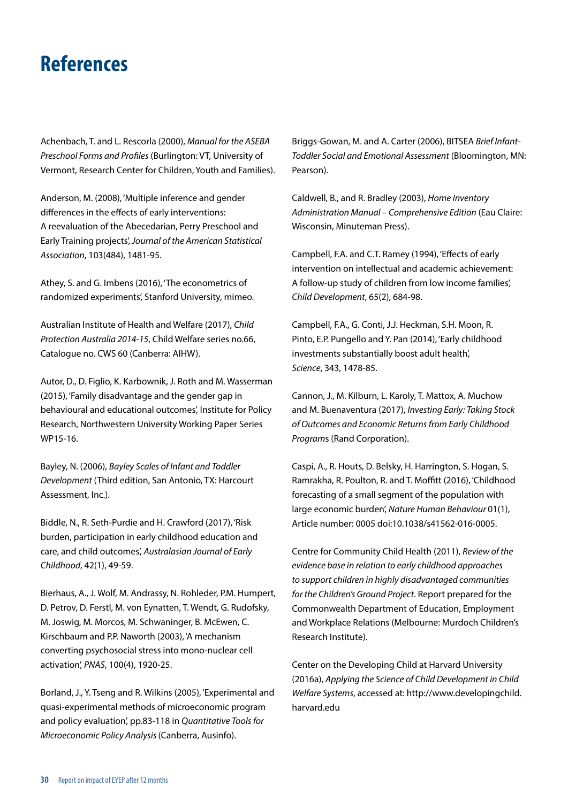### <span id="page-30-0"></span>**References**

Achenbach, T. and L. Rescorla (2000), *Manual for the ASEBA Preschool Forms and Profiles* (Burlington: VT, University of Vermont, Research Center for Children, Youth and Families).

Anderson, M. (2008), 'Multiple inference and gender differences in the effects of early interventions: A reevaluation of the Abecedarian, Perry Preschool and Early Training projects', *Journal of the American Statistical Association*, 103(484), 1481-95.

Athey, S. and G. Imbens (2016), 'The econometrics of randomized experiments', Stanford University, mimeo.

Australian Institute of Health and Welfare (2017), *Child Protection Australia 2014-15*, Child Welfare series no.66, Catalogue no. CWS 60 (Canberra: AIHW).

Autor, D., D. Figlio, K. Karbownik, J. Roth and M. Wasserman (2015), 'Family disadvantage and the gender gap in behavioural and educational outcomes', Institute for Policy Research, Northwestern University Working Paper Series WP15-16.

Bayley, N. (2006), *Bayley Scales of Infant and Toddler Development* (Third edition, San Antonio, TX: Harcourt Assessment, Inc.).

Biddle, N., R. Seth-Purdie and H. Crawford (2017), 'Risk burden, participation in early childhood education and care, and child outcomes', *Australasian Journal of Early Childhood*, 42(1), 49-59.

Bierhaus, A., J. Wolf, M. Andrassy, N. Rohleder, P.M. Humpert, D. Petrov, D. Ferstl, M. von Eynatten, T. Wendt, G. Rudofsky, M. Joswig, M. Morcos, M. Schwaninger, B. McEwen, C. Kirschbaum and P.P. Naworth (2003), 'A mechanism converting psychosocial stress into mono-nuclear cell activation', *PNAS*, 100(4), 1920-25.

Borland, J., Y. Tseng and R. Wilkins (2005), 'Experimental and quasi-experimental methods of microeconomic program and policy evaluation', pp.83-118 in *Quantitative Tools for Microeconomic Policy Analysis* (Canberra, Ausinfo).

Briggs-Gowan, M. and A. Carter (2006), BITSEA *Brief Infant-Toddler Social and Emotional Assessment* (Bloomington, MN: Pearson).

Caldwell, B., and R. Bradley (2003), *Home Inventory Administration Manual – Comprehensive Edition* (Eau Claire: Wisconsin, Minuteman Press).

Campbell, F.A. and C.T. Ramey (1994), 'Effects of early intervention on intellectual and academic achievement: A follow-up study of children from low income families', *Child Development*, 65(2), 684-98.

Campbell, F.A., G. Conti, J.J. Heckman, S.H. Moon, R. Pinto, E.P. Pungello and Y. Pan (2014), 'Early childhood investments substantially boost adult health', *Science*, 343, 1478-85.

Cannon, J., M. Kilburn, L. Karoly, T. Mattox, A. Muchow and M. Buenaventura (2017), *Investing Early: Taking Stock of Outcomes and Economic Returns from Early Childhood Program*s (Rand Corporation).

Caspi, A., R. Houts, D. Belsky, H. Harrington, S. Hogan, S. Ramrakha, R. Poulton, R. and T. Moffitt (2016), 'Childhood forecasting of a small segment of the population with large economic burden', *Nature Human Behaviour* 01(1), Article number: 0005 doi:10.1038/s41562-016-0005.

Centre for Community Child Health (2011), *Review of the evidence base in relation to early childhood approaches to support children in highly disadvantaged communities for the Children's Ground Project*. Report prepared for the Commonwealth Department of Education, Employment and Workplace Relations (Melbourne: Murdoch Children's Research Institute).

Center on the Developing Child at Harvard University (2016a), *Applying the Science of Child Development in Child Welfare Systems*, accessed at: [http://www.developingchild.](https://protect-au.mimecast.com/s/44GEBkSVndqZsW?domain=developingchild.harvard.edu) [harvard.edu](https://protect-au.mimecast.com/s/44GEBkSVndqZsW?domain=developingchild.harvard.edu)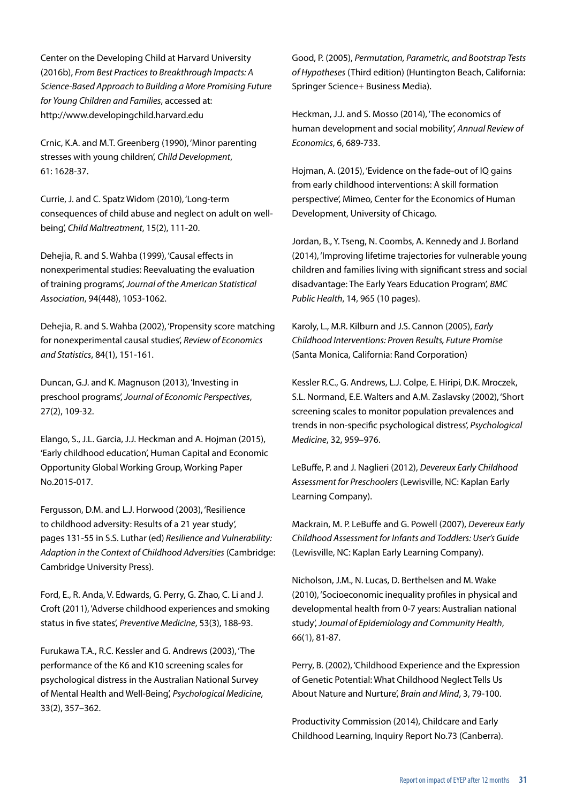Center on the Developing Child at Harvard University (2016b), *From Best Practices to Breakthrough Impacts: A Science-Based Approach to Building a More Promising Future for Young Children and Families*, accessed at: [http://www.developingchild.harvard.edu](https://protect-au.mimecast.com/s/44GEBkSVndqZsW?domain=developingchild.harvard.edu)

Crnic, K.A. and M.T. Greenberg (1990), 'Minor parenting stresses with young children', *Child Development*, 61: 1628-37.

Currie, J. and C. Spatz Widom (2010), 'Long-term consequences of child abuse and neglect on adult on wellbeing', *Child Maltreatment*, 15(2), 111-20.

Dehejia, R. and S. Wahba (1999), 'Causal effects in nonexperimental studies: Reevaluating the evaluation of training programs', *Journal of the American Statistical Association*, 94(448), 1053-1062.

Dehejia, R. and S. Wahba (2002), 'Propensity score matching for nonexperimental causal studies', *Review of Economics and Statistics*, 84(1), 151-161.

Duncan, G.J. and K. Magnuson (2013), 'Investing in preschool programs', *Journal of Economic Perspectives*, 27(2), 109-32.

Elango, S., J.L. Garcia, J.J. Heckman and A. Hojman (2015), 'Early childhood education', Human Capital and Economic Opportunity Global Working Group, Working Paper No.2015-017.

Fergusson, D.M. and L.J. Horwood (2003), 'Resilience to childhood adversity: Results of a 21 year study', pages 131-55 in S.S. Luthar (ed) *Resilience and Vulnerability: Adaption in the Context of Childhood Adversities* (Cambridge: Cambridge University Press).

Ford, E., R. Anda, V. Edwards, G. Perry, G. Zhao, C. Li and J. Croft (2011), 'Adverse childhood experiences and smoking status in five states', *Preventive Medicine*, 53(3), 188-93.

Furukawa T.A., R.C. Kessler and G. Andrews (2003), 'The performance of the K6 and K10 screening scales for psychological distress in the Australian National Survey of Mental Health and Well-Being', *Psychological Medicine*, 33(2), 357–362.

Good, P. (2005), *Permutation, Parametric, and Bootstrap Tests of Hypotheses* (Third edition) (Huntington Beach, California: Springer Science+ Business Media).

Heckman, J.J. and S. Mosso (2014), 'The economics of human development and social mobility', *Annual Review of Economics*, 6, 689-733.

Hojman, A. (2015), 'Evidence on the fade-out of IQ gains from early childhood interventions: A skill formation perspective', Mimeo, Center for the Economics of Human Development, University of Chicago.

Jordan, B., Y. Tseng, N. Coombs, A. Kennedy and J. Borland (2014), 'Improving lifetime trajectories for vulnerable young children and families living with significant stress and social disadvantage: The Early Years Education Program', *BMC Public Health*, 14, 965 (10 pages).

Karoly, L., M.R. Kilburn and J.S. Cannon (2005), *Early Childhood Interventions: Proven Results, Future Promise*  (Santa Monica, California: Rand Corporation)

Kessler R.C., G. Andrews, L.J. Colpe, E. Hiripi, D.K. Mroczek, S.L. Normand, E.E. Walters and A.M. Zaslavsky (2002), 'Short screening scales to monitor population prevalences and trends in non-specific psychological distress', *Psychological Medicine*, 32, 959–976.

LeBuffe, P. and J. Naglieri (2012), *Devereux Early Childhood Assessment for Preschoolers* (Lewisville, NC: Kaplan Early Learning Company).

Mackrain, M. P. LeBuffe and G. Powell (2007), *Devereux Early Childhood Assessment for Infants and Toddlers: User's Guide*  (Lewisville, NC: Kaplan Early Learning Company).

Nicholson, J.M., N. Lucas, D. Berthelsen and M. Wake (2010), 'Socioeconomic inequality profiles in physical and developmental health from 0-7 years: Australian national study', *Journal of Epidemiology and Community Health*, 66(1), 81-87.

Perry, B. (2002), 'Childhood Experience and the Expression of Genetic Potential: What Childhood Neglect Tells Us About Nature and Nurture', *Brain and Mind*, 3, 79-100.

Productivity Commission (2014), Childcare and Early Childhood Learning, Inquiry Report No.73 (Canberra).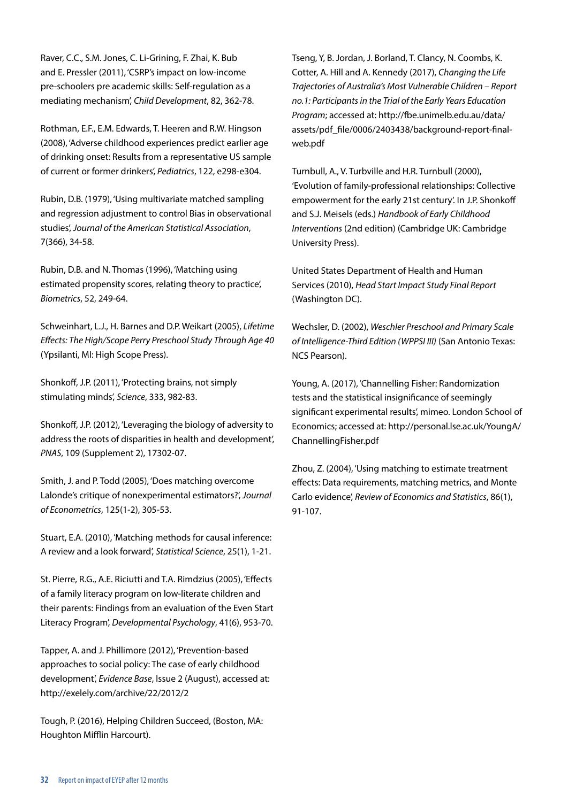Raver, C.C., S.M. Jones, C. Li-Grining, F. Zhai, K. Bub and E. Pressler (2011), 'CSRP's impact on low-income pre-schoolers pre academic skills: Self-regulation as a mediating mechanism', *Child Development*, 82, 362-78.

Rothman, E.F., E.M. Edwards, T. Heeren and R.W. Hingson (2008), 'Adverse childhood experiences predict earlier age of drinking onset: Results from a representative US sample of current or former drinkers', *Pediatrics*, 122, e298-e304.

Rubin, D.B. (1979), 'Using multivariate matched sampling and regression adjustment to control Bias in observational studies', *Journal of the American Statistical Association*, 7(366), 34-58.

Rubin, D.B. and N. Thomas (1996), 'Matching using estimated propensity scores, relating theory to practice', *Biometrics*, 52, 249-64.

Schweinhart, L.J., H. Barnes and D.P. Weikart (2005), *Lifetime Effects: The High/Scope Perry Preschool Study Through Age 40* (Ypsilanti, MI: High Scope Press).

Shonkoff, J.P. (2011), 'Protecting brains, not simply stimulating minds', *Science*, 333, 982-83.

Shonkoff, J.P. (2012), 'Leveraging the biology of adversity to address the roots of disparities in health and development', *PNAS*, 109 (Supplement 2), 17302-07.

Smith, J. and P. Todd (2005), 'Does matching overcome Lalonde's critique of nonexperimental estimators?', *Journal of Econometrics*, 125(1-2), 305-53.

Stuart, E.A. (2010), 'Matching methods for causal inference: A review and a look forward', *Statistical Science*, 25(1), 1-21.

St. Pierre, R.G., A.E. Riciutti and T.A. Rimdzius (2005), 'Effects of a family literacy program on low-literate children and their parents: Findings from an evaluation of the Even Start Literacy Program', *Developmental Psychology*, 41(6), 953-70.

Tapper, A. and J. Phillimore (2012), 'Prevention-based approaches to social policy: The case of early childhood development', *Evidence Base*, Issue 2 (August), accessed at: http://exelely.com/archive/22/2012/2

Tough, P. (2016), Helping Children Succeed, (Boston, MA: Houghton Mifflin Harcourt).

Tseng, Y, B. Jordan, J. Borland, T. Clancy, N. Coombs, K. Cotter, A. Hill and A. Kennedy (2017), *Changing the Life Trajectories of Australia's Most Vulnerable Children – Report no.1: Participants in the Trial of the Early Years Education Program*; accessed at: http://fbe.unimelb.edu.au/data/ assets/pdf\_file/0006/2403438/background-report-finalweb.pdf

Turnbull, A., V. Turbville and H.R. Turnbull (2000), 'Evolution of family-professional relationships: Collective empowerment for the early 21st century'. In J.P. Shonkoff and S.J. Meisels (eds.) *Handbook of Early Childhood Interventions* (2nd edition) (Cambridge UK: Cambridge University Press).

United States Department of Health and Human Services (2010), *Head Start Impact Study Final Report*  (Washington DC).

Wechsler, D. (2002), *Weschler Preschool and Primary Scale of Intelligence-Third Edition (WPPSI III)* (San Antonio Texas: NCS Pearson).

Young, A. (2017), 'Channelling Fisher: Randomization tests and the statistical insignificance of seemingly significant experimental results', mimeo. London School of Economics; accessed at: http://personal.lse.ac.uk/YoungA/ ChannellingFisher.pdf

Zhou, Z. (2004), 'Using matching to estimate treatment effects: Data requirements, matching metrics, and Monte Carlo evidence', *Review of Economics and Statistics*, 86(1), 91-107.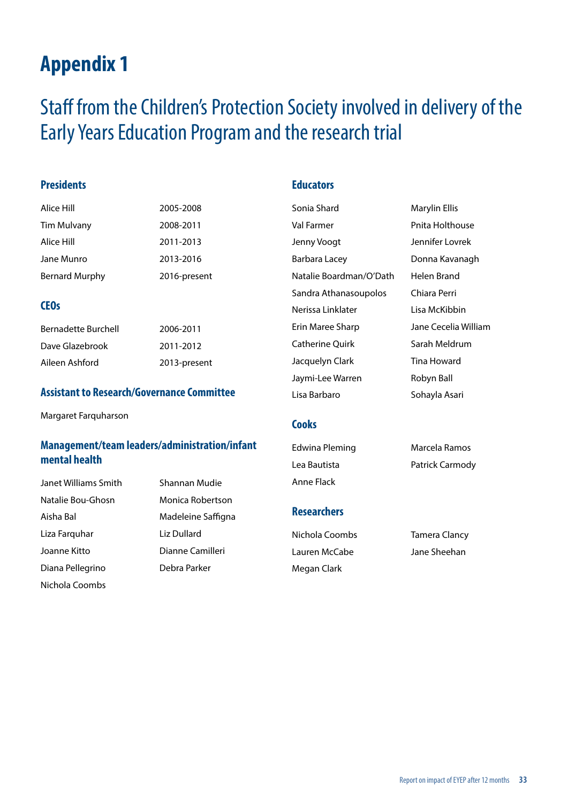### <span id="page-33-0"></span>Staff from the Children's Protection Society involved in delivery of the Early Years Education Program and the research trial

#### **Presidents**

| Alice Hill            | 2005-2008    |
|-----------------------|--------------|
| Tim Mulvany           | 2008-2011    |
| Alice Hill            | 2011-2013    |
| Jane Munro            | 2013-2016    |
| <b>Bernard Murphy</b> | 2016-present |

#### **CEOs**

| Bernadette Burchell | 2006-2011    |
|---------------------|--------------|
| Dave Glazebrook     | 2011-2012    |
| Aileen Ashford      | 2013-present |

#### **Assistant to Research/Governance Committee**

Margaret Farquharson

#### **Management/team leaders/administration/infant mental health**

Janet Williams Smith Shannan Mudie Natalie Bou-Ghosn Monica Robertson Aisha Bal Madeleine Saffigna Liza Farquhar Liz Dullard Joanne Kitto Dianne Camilleri Diana Pellegrino Debra Parker Nichola Coombs

#### **Educators**

Sonia Shard Marylin Ellis Val Farmer **Pnita Holthouse** Jenny Voogt Jennifer Lovrek Barbara Lacey **Donna Kavanagh** Natalie Boardman/O'Dath Helen Brand Sandra Athanasoupolos Chiara Perri Nerissa Linklater Lisa McKibbin Erin Maree Sharp Jane Cecelia William Catherine Ouirk Sarah Meldrum Jacquelyn Clark Tina Howard Jaymi-Lee Warren Robyn Ball Lisa Barbaro **Sohayla Asari** 

Edwina Pleming Marcela Ramos Lea Bautista **Patrick Carmody** 

#### **Researchers**

Anne Flack

**Cooks**

Nichola Coombs Tamera Clancy Lauren McCabe Jane Sheehan Megan Clark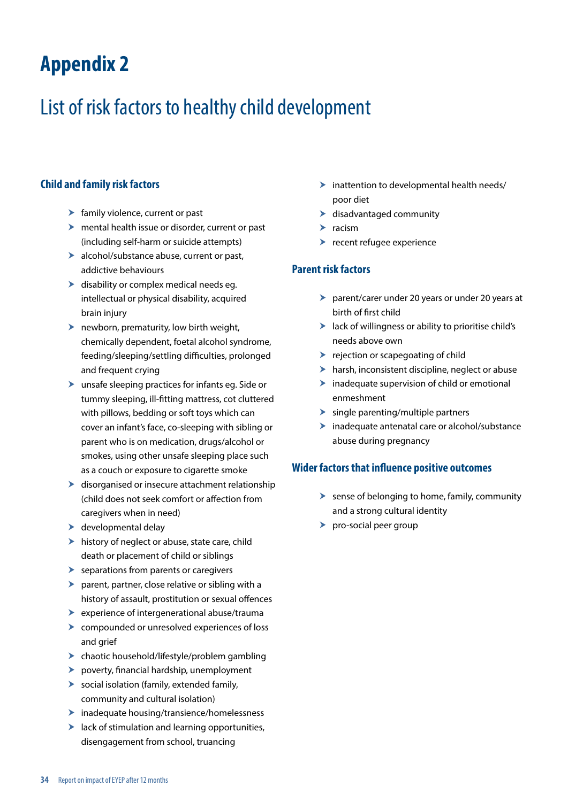# <span id="page-34-0"></span>List of risk factors to healthy child development

#### **Child and family risk factors**

- $\blacktriangleright$  family violence, current or past
- $\blacktriangleright$  mental health issue or disorder, current or past (including self-harm or suicide attempts)
- $\blacktriangleright$  alcohol/substance abuse, current or past, addictive behaviours
- $\blacktriangleright$  disability or complex medical needs eg. intellectual or physical disability, acquired brain injury
- $\blacktriangleright$  newborn, prematurity, low birth weight, chemically dependent, foetal alcohol syndrome, feeding/sleeping/settling difficulties, prolonged and frequent crying
- $\blacktriangleright$  unsafe sleeping practices for infants eg. Side or tummy sleeping, ill-fitting mattress, cot cluttered with pillows, bedding or soft toys which can cover an infant's face, co-sleeping with sibling or parent who is on medication, drugs/alcohol or smokes, using other unsafe sleeping place such as a couch or exposure to cigarette smoke
- $\blacktriangleright$  disorganised or insecure attachment relationship (child does not seek comfort or affection from caregivers when in need)
- $\blacktriangleright$  developmental delay
- $\blacktriangleright$  history of neglect or abuse, state care, child death or placement of child or siblings
- $\blacktriangleright$  separations from parents or caregivers
- $\blacktriangleright$  parent, partner, close relative or sibling with a history of assault, prostitution or sexual offences
- $\blacktriangleright$  experience of intergenerational abuse/trauma
- $\triangleright$  compounded or unresolved experiences of loss and grief
- $\blacktriangleright$  chaotic household/lifestyle/problem gambling
- $\blacktriangleright$  poverty, financial hardship, unemployment
- $\triangleright$  social isolation (family, extended family, community and cultural isolation)
- $\blacktriangleright$  inadequate housing/transience/homelessness
- $\blacktriangleright$  lack of stimulation and learning opportunities, disengagement from school, truancing
- $\blacktriangleright$  inattention to developmental health needs/ poor diet
- $\blacktriangleright$  disadvantaged community
- $\blacktriangleright$  racism
- $\blacktriangleright$  recent refugee experience

#### **Parent risk factors**

- $\triangleright$  parent/carer under 20 years or under 20 years at birth of first child
- $\blacktriangleright$  lack of willingness or ability to prioritise child's needs above own
- $\blacktriangleright$  rejection or scapegoating of child
- $\blacktriangleright$  harsh, inconsistent discipline, neglect or abuse
- $\blacktriangleright$  inadequate supervision of child or emotional enmeshment
- $\blacktriangleright$  single parenting/multiple partners
- $\blacktriangleright$  inadequate antenatal care or alcohol/substance abuse during pregnancy

#### **Wider factors that influence positive outcomes**

- $\triangleright$  sense of belonging to home, family, community and a strong cultural identity
- $\blacktriangleright$  pro-social peer group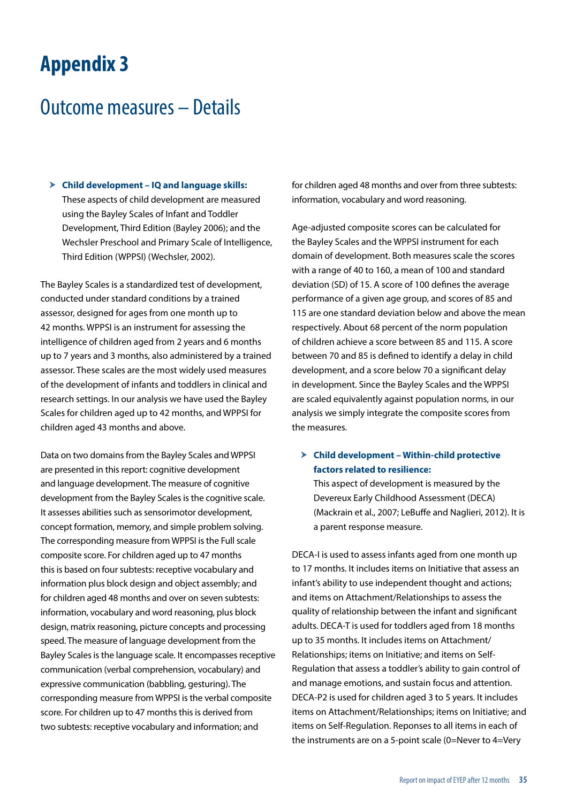### <span id="page-35-0"></span>Outcome measures – Details

h **Child development – IQ and language skills:**  These aspects of child development are measured using the Bayley Scales of Infant and Toddler Development, Third Edition (Bayley 2006); and the Wechsler Preschool and Primary Scale of Intelligence, Third Edition (WPPSI) (Wechsler, 2002).

The Bayley Scales is a standardized test of development, conducted under standard conditions by a trained assessor, designed for ages from one month up to 42 months. WPPSI is an instrument for assessing the intelligence of children aged from 2 years and 6 months up to 7 years and 3 months, also administered by a trained assessor. These scales are the most widely used measures of the development of infants and toddlers in clinical and research settings. In our analysis we have used the Bayley Scales for children aged up to 42 months, and WPPSI for children aged 43 months and above.

Data on two domains from the Bayley Scales and WPPSI are presented in this report: cognitive development and language development. The measure of cognitive development from the Bayley Scales is the cognitive scale. It assesses abilities such as sensorimotor development, concept formation, memory, and simple problem solving. The corresponding measure from WPPSI is the Full scale composite score. For children aged up to 47 months this is based on four subtests: receptive vocabulary and information plus block design and object assembly; and for children aged 48 months and over on seven subtests: information, vocabulary and word reasoning, plus block design, matrix reasoning, picture concepts and processing speed. The measure of language development from the Bayley Scales is the language scale. It encompasses receptive communication (verbal comprehension, vocabulary) and expressive communication (babbling, gesturing). The corresponding measure from WPPSI is the verbal composite score. For children up to 47 months this is derived from two subtests: receptive vocabulary and information; and

for children aged 48 months and over from three subtests: information, vocabulary and word reasoning.

Age-adjusted composite scores can be calculated for the Bayley Scales and the WPPSI instrument for each domain of development. Both measures scale the scores with a range of 40 to 160, a mean of 100 and standard deviation (SD) of 15. A score of 100 defines the average performance of a given age group, and scores of 85 and 115 are one standard deviation below and above the mean respectively. About 68 percent of the norm population of children achieve a score between 85 and 115. A score between 70 and 85 is defined to identify a delay in child development, and a score below 70 a significant delay in development. Since the Bayley Scales and the WPPSI are scaled equivalently against population norms, in our analysis we simply integrate the composite scores from the measures.

h **Child development – Within-child protective factors related to resilience:** 

This aspect of development is measured by the Devereux Early Childhood Assessment (DECA) (Mackrain et al., 2007; LeBuffe and Naglieri, 2012). It is a parent response measure.

DECA-I is used to assess infants aged from one month up to 17 months. It includes items on Initiative that assess an infant's ability to use independent thought and actions; and items on Attachment/Relationships to assess the quality of relationship between the infant and significant adults. DECA-T is used for toddlers aged from 18 months up to 35 months. It includes items on Attachment/ Relationships; items on Initiative; and items on Self-Regulation that assess a toddler's ability to gain control of and manage emotions, and sustain focus and attention. DECA-P2 is used for children aged 3 to 5 years. It includes items on Attachment/Relationships; items on Initiative; and items on Self-Regulation. Reponses to all items in each of the instruments are on a 5-point scale (0=Never to 4=Very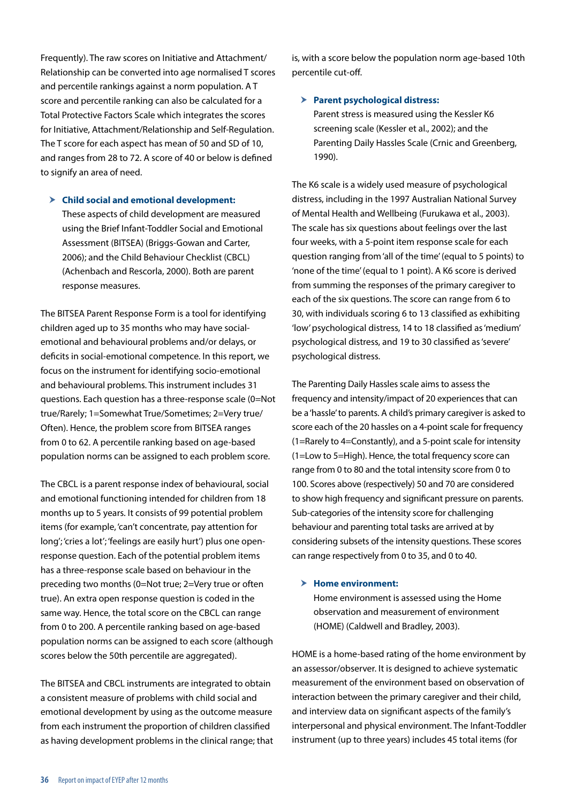Frequently). The raw scores on Initiative and Attachment/ Relationship can be converted into age normalised T scores and percentile rankings against a norm population. A T score and percentile ranking can also be calculated for a Total Protective Factors Scale which integrates the scores for Initiative, Attachment/Relationship and Self-Regulation. The T score for each aspect has mean of 50 and SD of 10, and ranges from 28 to 72. A score of 40 or below is defined to signify an area of need.

#### h **Child social and emotional development:** These aspects of child development are measured using the Brief Infant-Toddler Social and Emotional Assessment (BITSEA) (Briggs-Gowan and Carter, 2006); and the Child Behaviour Checklist (CBCL) (Achenbach and Rescorla, 2000). Both are parent response measures.

The BITSEA Parent Response Form is a tool for identifying children aged up to 35 months who may have socialemotional and behavioural problems and/or delays, or deficits in social-emotional competence. In this report, we focus on the instrument for identifying socio-emotional and behavioural problems. This instrument includes 31 questions. Each question has a three-response scale (0=Not true/Rarely; 1=Somewhat True/Sometimes; 2=Very true/ Often). Hence, the problem score from BITSEA ranges from 0 to 62. A percentile ranking based on age-based population norms can be assigned to each problem score.

The CBCL is a parent response index of behavioural, social and emotional functioning intended for children from 18 months up to 5 years. It consists of 99 potential problem items (for example, 'can't concentrate, pay attention for long'; 'cries a lot'; 'feelings are easily hurt') plus one openresponse question. Each of the potential problem items has a three-response scale based on behaviour in the preceding two months (0=Not true; 2=Very true or often true). An extra open response question is coded in the same way. Hence, the total score on the CBCL can range from 0 to 200. A percentile ranking based on age-based population norms can be assigned to each score (although scores below the 50th percentile are aggregated).

The BITSEA and CBCL instruments are integrated to obtain a consistent measure of problems with child social and emotional development by using as the outcome measure from each instrument the proportion of children classified as having development problems in the clinical range; that is, with a score below the population norm age-based 10th percentile cut-off.

#### $\triangleright$  Parent psychological distress:

Parent stress is measured using the Kessler K6 screening scale (Kessler et al., 2002); and the Parenting Daily Hassles Scale (Crnic and Greenberg, 1990).

The K6 scale is a widely used measure of psychological distress, including in the 1997 Australian National Survey of Mental Health and Wellbeing (Furukawa et al., 2003). The scale has six questions about feelings over the last four weeks, with a 5-point item response scale for each question ranging from 'all of the time' (equal to 5 points) to 'none of the time' (equal to 1 point). A K6 score is derived from summing the responses of the primary caregiver to each of the six questions. The score can range from 6 to 30, with individuals scoring 6 to 13 classified as exhibiting 'low' psychological distress, 14 to 18 classified as 'medium' psychological distress, and 19 to 30 classified as 'severe' psychological distress.

The Parenting Daily Hassles scale aims to assess the frequency and intensity/impact of 20 experiences that can be a 'hassle' to parents. A child's primary caregiver is asked to score each of the 20 hassles on a 4-point scale for frequency (1=Rarely to 4=Constantly), and a 5-point scale for intensity (1=Low to 5=High). Hence, the total frequency score can range from 0 to 80 and the total intensity score from 0 to 100. Scores above (respectively) 50 and 70 are considered to show high frequency and significant pressure on parents. Sub-categories of the intensity score for challenging behaviour and parenting total tasks are arrived at by considering subsets of the intensity questions. These scores can range respectively from 0 to 35, and 0 to 40.

#### > Home environment:

Home environment is assessed using the Home observation and measurement of environment (HOME) (Caldwell and Bradley, 2003).

HOME is a home-based rating of the home environment by an assessor/observer. It is designed to achieve systematic measurement of the environment based on observation of interaction between the primary caregiver and their child, and interview data on significant aspects of the family's interpersonal and physical environment. The Infant-Toddler instrument (up to three years) includes 45 total items (for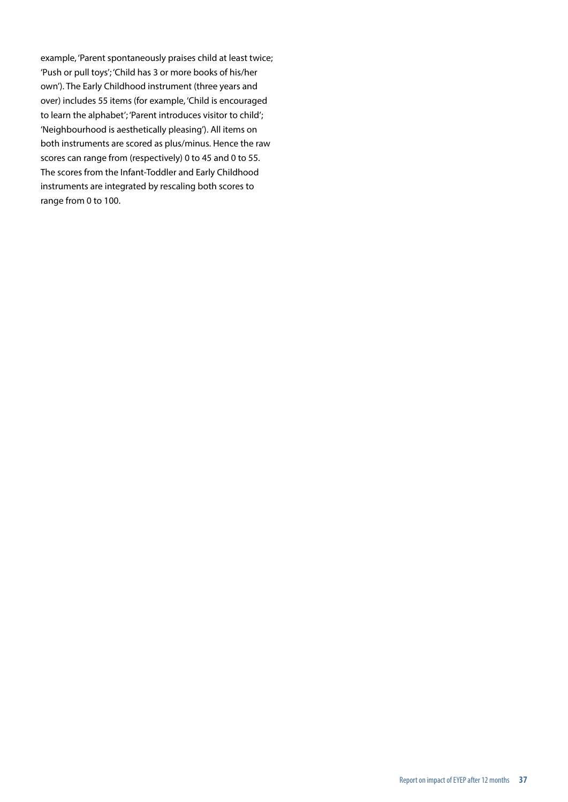example, 'Parent spontaneously praises child at least twice; 'Push or pull toys'; 'Child has 3 or more books of his/her own'). The Early Childhood instrument (three years and over) includes 55 items (for example, 'Child is encouraged to learn the alphabet'; 'Parent introduces visitor to child'; 'Neighbourhood is aesthetically pleasing'). All items on both instruments are scored as plus/minus. Hence the raw scores can range from (respectively) 0 to 45 and 0 to 55. The scores from the Infant-Toddler and Early Childhood instruments are integrated by rescaling both scores to range from 0 to 100.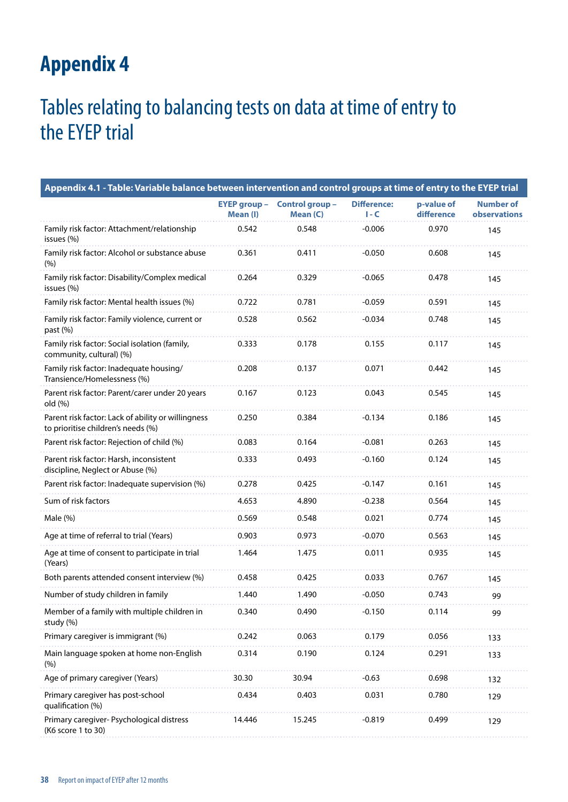### <span id="page-38-0"></span>Tables relating to balancing tests on data at time of entry to the EYEP trial

| Appendix 4.1 - Table: Variable balance between intervention and control groups at time of entry to the EYEP trial |                                 |                             |                               |                          |                                  |  |
|-------------------------------------------------------------------------------------------------------------------|---------------------------------|-----------------------------|-------------------------------|--------------------------|----------------------------------|--|
|                                                                                                                   | <b>EYEP group -</b><br>Mean (I) | Control group -<br>Mean (C) | <b>Difference:</b><br>$I - C$ | p-value of<br>difference | <b>Number of</b><br>observations |  |
| Family risk factor: Attachment/relationship<br>issues (%)                                                         | 0.542                           | 0.548                       | $-0.006$                      | 0.970                    | 145                              |  |
| Family risk factor: Alcohol or substance abuse<br>(%)                                                             | 0.361                           | 0.411                       | $-0.050$                      | 0.608                    | 145                              |  |
| Family risk factor: Disability/Complex medical<br>issues (%)                                                      | 0.264                           | 0.329                       | $-0.065$                      | 0.478                    | 145                              |  |
| Family risk factor: Mental health issues (%)                                                                      | 0.722                           | 0.781                       | $-0.059$                      | 0.591                    | 145                              |  |
| Family risk factor: Family violence, current or<br>past (%)                                                       | 0.528                           | 0.562                       | $-0.034$                      | 0.748                    | 145                              |  |
| Family risk factor: Social isolation (family,<br>community, cultural) (%)                                         | 0.333                           | 0.178                       | 0.155                         | 0.117                    | 145                              |  |
| Family risk factor: Inadequate housing/<br>Transience/Homelessness (%)                                            | 0.208                           | 0.137                       | 0.071                         | 0.442                    | 145                              |  |
| Parent risk factor: Parent/carer under 20 years<br>old (%)                                                        | 0.167                           | 0.123                       | 0.043                         | 0.545                    | 145                              |  |
| Parent risk factor: Lack of ability or willingness<br>to prioritise children's needs (%)                          | 0.250                           | 0.384                       | $-0.134$                      | 0.186                    | 145                              |  |
| Parent risk factor: Rejection of child (%)                                                                        | 0.083                           | 0.164                       | $-0.081$                      | 0.263                    | 145                              |  |
| Parent risk factor: Harsh, inconsistent<br>discipline, Neglect or Abuse (%)                                       | 0.333                           | 0.493                       | $-0.160$                      | 0.124                    | 145                              |  |
| Parent risk factor: Inadequate supervision (%)                                                                    | 0.278                           | 0.425                       | $-0.147$                      | 0.161                    | 145                              |  |
| Sum of risk factors                                                                                               | 4.653                           | 4.890                       | $-0.238$                      | 0.564                    | 145                              |  |
| Male $(\%)$                                                                                                       | 0.569                           | 0.548                       | 0.021                         | 0.774                    | 145                              |  |
| Age at time of referral to trial (Years)                                                                          | 0.903                           | 0.973                       | $-0.070$                      | 0.563                    | 145                              |  |
| Age at time of consent to participate in trial<br>(Years)                                                         | 1.464                           | 1.475                       | 0.011                         | 0.935                    | 145                              |  |
| Both parents attended consent interview (%)                                                                       | 0.458                           | 0.425                       | 0.033                         | 0.767                    | 145                              |  |
| Number of study children in family                                                                                | 1.440                           | 1.490                       | $-0.050$                      | 0.743                    | 99                               |  |
| Member of a family with multiple children in<br>study (%)                                                         | 0.340                           | 0.490                       | $-0.150$                      | 0.114                    | 99                               |  |
| Primary caregiver is immigrant (%)                                                                                | 0.242                           | 0.063                       | 0.179                         | 0.056                    | 133                              |  |
| Main language spoken at home non-English<br>(%)                                                                   | 0.314                           | 0.190                       | 0.124                         | 0.291                    | 133                              |  |
| Age of primary caregiver (Years)                                                                                  | 30.30                           | 30.94                       | $-0.63$                       | 0.698                    | 132                              |  |
| Primary caregiver has post-school<br>qualification (%)                                                            | 0.434                           | 0.403                       | 0.031                         | 0.780                    | 129                              |  |
| Primary caregiver- Psychological distress<br>(K6 score 1 to 30)                                                   | 14.446                          | 15.245                      | $-0.819$                      | 0.499                    | 129                              |  |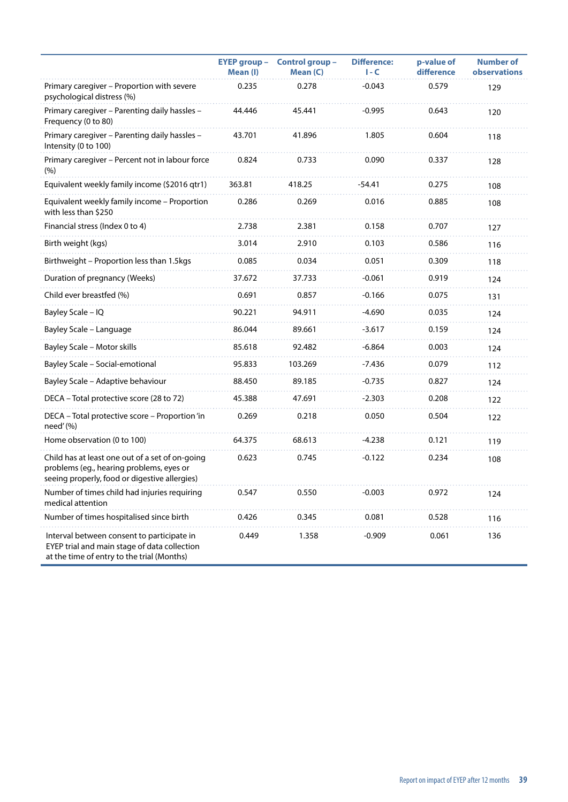|                                                                                                                                              | <b>EYEP group -</b><br>Mean (I) | Control group -<br>Mean (C) | <b>Difference:</b><br>$I - C$ | p-value of<br>difference | <b>Number of</b><br><b>observations</b> |
|----------------------------------------------------------------------------------------------------------------------------------------------|---------------------------------|-----------------------------|-------------------------------|--------------------------|-----------------------------------------|
| Primary caregiver - Proportion with severe<br>psychological distress (%)                                                                     | 0.235                           | 0.278                       | $-0.043$                      | 0.579                    | 129                                     |
| Primary caregiver - Parenting daily hassles -<br>Frequency (0 to 80)                                                                         | 44.446                          | 45.441                      | $-0.995$                      | 0.643                    | 120                                     |
| Primary caregiver - Parenting daily hassles -<br>Intensity (0 to 100)                                                                        | 43.701                          | 41.896                      | 1.805                         | 0.604                    | 118                                     |
| Primary caregiver - Percent not in labour force<br>(%)                                                                                       | 0.824                           | 0.733                       | 0.090                         | 0.337                    | 128                                     |
| Equivalent weekly family income (\$2016 qtr1)                                                                                                | 363.81                          | 418.25                      | $-54.41$                      | 0.275                    | 108                                     |
| Equivalent weekly family income - Proportion<br>with less than \$250                                                                         | 0.286                           | 0.269                       | 0.016                         | 0.885                    | 108                                     |
| Financial stress (Index 0 to 4)                                                                                                              | 2.738                           | 2.381                       | 0.158                         | 0.707                    | 127                                     |
| Birth weight (kgs)                                                                                                                           | 3.014                           | 2.910                       | 0.103                         | 0.586                    | 116                                     |
| Birthweight - Proportion less than 1.5kgs                                                                                                    | 0.085                           | 0.034                       | 0.051                         | 0.309                    | 118                                     |
| Duration of pregnancy (Weeks)                                                                                                                | 37.672                          | 37.733                      | $-0.061$                      | 0.919                    | 124                                     |
| Child ever breastfed (%)                                                                                                                     | 0.691                           | 0.857                       | $-0.166$                      | 0.075                    | 131                                     |
| Bayley Scale - IQ                                                                                                                            | 90.221                          | 94.911                      | $-4.690$                      | 0.035                    | 124                                     |
| Bayley Scale - Language                                                                                                                      | 86.044                          | 89.661                      | $-3.617$                      | 0.159                    | 124                                     |
| Bayley Scale - Motor skills                                                                                                                  | 85.618                          | 92.482                      | $-6.864$                      | 0.003                    | 124                                     |
| Bayley Scale - Social-emotional                                                                                                              | 95.833                          | 103.269                     | -7.436                        | 0.079                    | 112                                     |
| Bayley Scale - Adaptive behaviour                                                                                                            | 88.450                          | 89.185                      | $-0.735$                      | 0.827                    | 124                                     |
| DECA - Total protective score (28 to 72)                                                                                                     | 45.388                          | 47.691                      | $-2.303$                      | 0.208                    | 122                                     |
| DECA - Total protective score - Proportion'in<br>need'(%)                                                                                    | 0.269                           | 0.218                       | 0.050                         | 0.504                    | 122                                     |
| Home observation (0 to 100)                                                                                                                  | 64.375                          | 68.613                      | $-4.238$                      | 0.121                    | 119                                     |
| Child has at least one out of a set of on-going<br>problems (eg., hearing problems, eyes or<br>seeing properly, food or digestive allergies) | 0.623                           | 0.745                       | $-0.122$                      | 0.234                    | 108                                     |
| Number of times child had injuries requiring<br>medical attention                                                                            | 0.547                           | 0.550                       | $-0.003$                      | 0.972                    | 124                                     |
| Number of times hospitalised since birth                                                                                                     | 0.426                           | 0.345                       | 0.081                         | 0.528                    | 116                                     |
| Interval between consent to participate in<br>EYEP trial and main stage of data collection<br>at the time of entry to the trial (Months)     | 0.449                           | 1.358                       | $-0.909$                      | 0.061                    | 136                                     |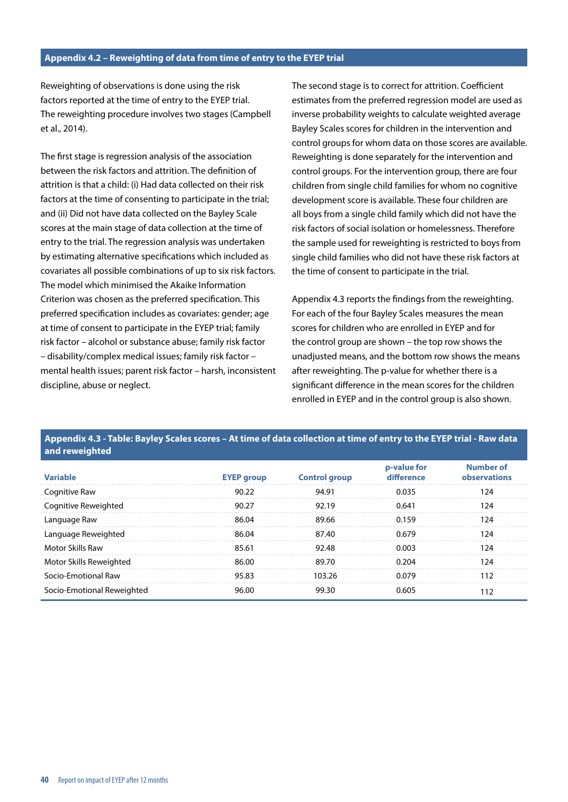#### **Appendix 4.2 – Reweighting of data from time of entry to the EYEP trial**

Reweighting of observations is done using the risk factors reported at the time of entry to the EYEP trial. The reweighting procedure involves two stages (Campbell et al., 2014).

The first stage is regression analysis of the association between the risk factors and attrition. The definition of attrition is that a child: (i) Had data collected on their risk factors at the time of consenting to participate in the trial; and (ii) Did not have data collected on the Bayley Scale scores at the main stage of data collection at the time of entry to the trial. The regression analysis was undertaken by estimating alternative specifications which included as covariates all possible combinations of up to six risk factors. The model which minimised the Akaike Information Criterion was chosen as the preferred specification. This preferred specification includes as covariates: gender; age at time of consent to participate in the EYEP trial; family risk factor – alcohol or substance abuse; family risk factor – disability/complex medical issues; family risk factor – mental health issues; parent risk factor – harsh, inconsistent discipline, abuse or neglect.

The second stage is to correct for attrition. Coefficient estimates from the preferred regression model are used as inverse probability weights to calculate weighted average Bayley Scales scores for children in the intervention and control groups for whom data on those scores are available. Reweighting is done separately for the intervention and control groups. For the intervention group, there are four children from single child families for whom no cognitive development score is available. These four children are all boys from a single child family which did not have the risk factors of social isolation or homelessness. Therefore the sample used for reweighting is restricted to boys from single child families who did not have these risk factors at the time of consent to participate in the trial.

Appendix 4.3 reports the findings from the reweighting. For each of the four Bayley Scales measures the mean scores for children who are enrolled in EYEP and for the control group are shown – the top row shows the unadjusted means, and the bottom row shows the means after reweighting. The p-value for whether there is a significant difference in the mean scores for the children enrolled in EYEP and in the control group is also shown.

#### **Appendix 4.3 - Table: Bayley Scales scores – At time of data collection at time of entry to the EYEP trial - Raw data and reweighted**

| <b>Variable</b>            | <b>EYEP group</b> | <b>Control group</b> | p-value for<br>difference | Number of<br>observations |
|----------------------------|-------------------|----------------------|---------------------------|---------------------------|
| Cognitive Raw              | 90.22             | 94.91                | 0.035                     | 124                       |
| Cognitive Reweighted       | 90.27             | 92.19                | 0.641                     | 124                       |
| Language Raw               | 86.04             | 89.66                | 0.159                     | 124                       |
| Language Reweighted        | 86.04             | 87.40                | 0.679                     | 124                       |
| Motor Skills Raw           | 85.61             | 92.48                | 0.003                     | 124                       |
| Motor Skills Reweighted    | 86.00             | 89.70                | 0.204                     | 124                       |
| Socio-Emotional Raw        | 95.83             | 103.26               | 0.079                     | 112                       |
| Socio-Emotional Reweighted | 96.00             | 99.30                | 0.605                     | 112                       |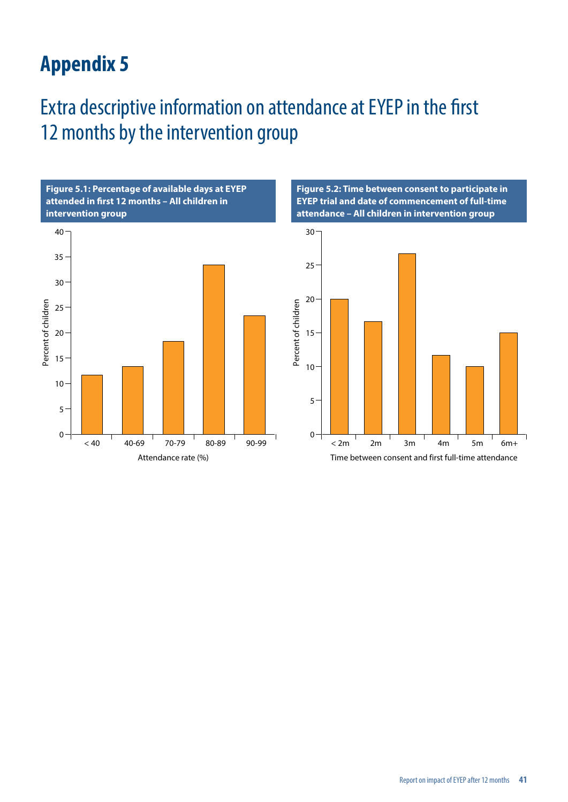### <span id="page-41-0"></span>Extra descriptive information on attendance at EYEP in the first 12 months by the intervention group



**Figure 5.2: Time between consent to participate in EYEP trial and date of commencement of full-time attendance – All children in intervention group**

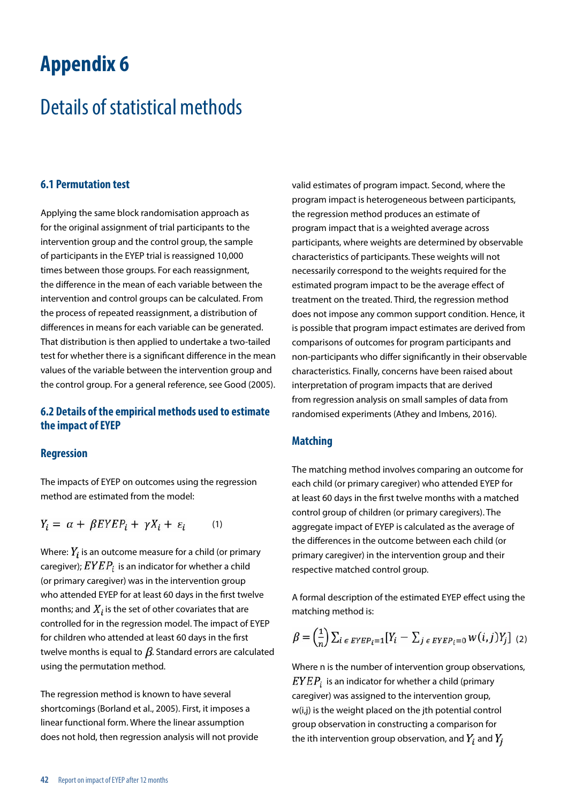### <span id="page-42-0"></span>Details of statistical methods

#### **6.1 Permutation test**

Applying the same block randomisation approach as for the original assignment of trial participants to the intervention group and the control group, the sample of participants in the EYEP trial is reassigned 10,000 times between those groups. For each reassignment, the difference in the mean of each variable between the intervention and control groups can be calculated. From the process of repeated reassignment, a distribution of differences in means for each variable can be generated. That distribution is then applied to undertake a two-tailed test for whether there is a significant difference in the mean values of the variable between the intervention group and the control group. For a general reference, see Good (2005).

#### **6.2 Details of the empirical methods used to estimate the impact of EYEP**

#### **Regression**

The impacts of EYEP on outcomes using the regression method are estimated from the model:

$$
Y_i = \alpha + \beta E Y E P_i + \gamma X_i + \varepsilon_i \qquad (1)
$$

Where:  $Y_i$  is an outcome measure for a child (or primary caregiver);  $EYEP_i$  is an indicator for whether a child (or primary caregiver) was in the intervention group who attended EYEP for at least 60 days in the first twelve months; and  $X_i$  is the set of other covariates that are controlled for in the regression model. The impact of EYEP for children who attended at least 60 days in the first twelve months is equal to  $\beta$ . Standard errors are calculated using the permutation method.

The regression method is known to have several shortcomings (Borland et al., 2005). First, it imposes a linear functional form. Where the linear assumption does not hold, then regression analysis will not provide valid estimates of program impact. Second, where the program impact is heterogeneous between participants, the regression method produces an estimate of program impact that is a weighted average across participants, where weights are determined by observable characteristics of participants. These weights will not necessarily correspond to the weights required for the estimated program impact to be the average effect of treatment on the treated. Third, the regression method does not impose any common support condition. Hence, it is possible that program impact estimates are derived from comparisons of outcomes for program participants and non-participants who differ significantly in their observable characteristics. Finally, concerns have been raised about interpretation of program impacts that are derived from regression analysis on small samples of data from randomised experiments (Athey and Imbens, 2016).

#### **Matching**

The matching method involves comparing an outcome for each child (or primary caregiver) who attended EYEP for at least 60 days in the first twelve months with a matched control group of children (or primary caregivers). The aggregate impact of EYEP is calculated as the average of the differences in the outcome between each child (or primary caregiver) in the intervention group and their respective matched control group.

A formal description of the estimated EYEP effect using the matching method is:

$$
\beta = \left(\frac{1}{n}\right) \sum_{i \in \text{EYEP}_i = 1} [Y_i - \sum_{j \in \text{EYEP}_i = 0} w(i, j) Y_j]_{(2)}
$$

Where n is the number of intervention group observations,  $EYEP_i$  is an indicator for whether a child (primary caregiver) was assigned to the intervention group, w(i,j) is the weight placed on the jth potential control group observation in constructing a comparison for the ith intervention group observation, and  $Y_i$  and  $Y_i$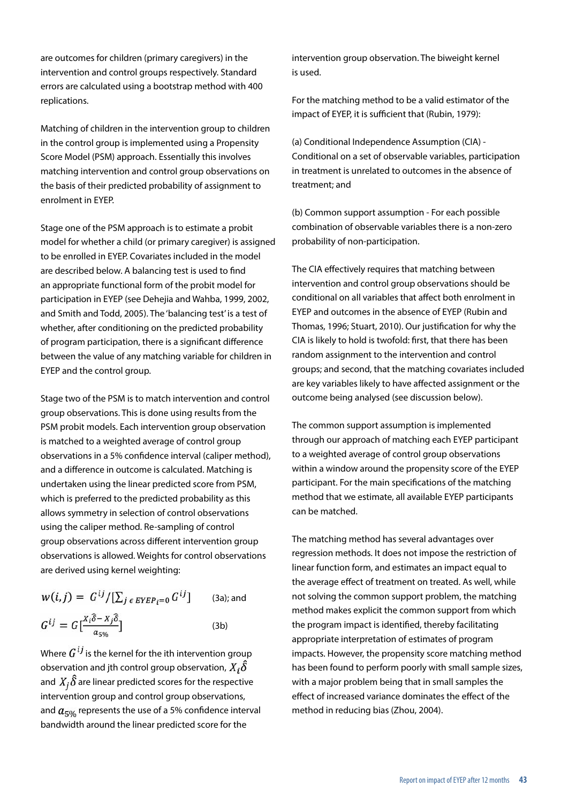are outcomes for children (primary caregivers) in the intervention and control groups respectively. Standard errors are calculated using a bootstrap method with 400 replications.

Matching of children in the intervention group to children in the control group is implemented using a Propensity Score Model (PSM) approach. Essentially this involves matching intervention and control group observations on the basis of their predicted probability of assignment to enrolment in EYEP.

Stage one of the PSM approach is to estimate a probit model for whether a child (or primary caregiver) is assigned to be enrolled in EYEP. Covariates included in the model are described below. A balancing test is used to find an appropriate functional form of the probit model for participation in EYEP (see Dehejia and Wahba, 1999, 2002, and Smith and Todd, 2005). The 'balancing test' is a test of whether, after conditioning on the predicted probability of program participation, there is a significant difference between the value of any matching variable for children in EYEP and the control group.

Stage two of the PSM is to match intervention and control group observations. This is done using results from the PSM probit models. Each intervention group observation is matched to a weighted average of control group observations in a 5% confidence interval (caliper method), and a difference in outcome is calculated. Matching is undertaken using the linear predicted score from PSM, which is preferred to the predicted probability as this allows symmetry in selection of control observations using the caliper method. Re-sampling of control group observations across different intervention group observations is allowed. Weights for control observations are derived using kernel weighting:

$$
w(i,j) = G^{ij}/[\sum_{j \in EYEP_i=0} G^{ij}]
$$
 (3a); and  

$$
G^{ij} = G\left[\frac{x_i\delta - x_j\delta}{a_{5\%}}\right]
$$
 (3b)

Where  $G^{ij}$  is the kernel for the ith intervention group observation and jth control group observation,  $X_i \hat{\delta}$ and  $X_i\hat{\delta}$  are linear predicted scores for the respective intervention group and control group observations, and  $a_{5%}$  represents the use of a 5% confidence interval bandwidth around the linear predicted score for the

intervention group observation. The biweight kernel is used.

For the matching method to be a valid estimator of the impact of EYEP, it is sufficient that (Rubin, 1979):

(a) Conditional Independence Assumption (CIA) - Conditional on a set of observable variables, participation in treatment is unrelated to outcomes in the absence of treatment; and

(b) Common support assumption - For each possible combination of observable variables there is a non-zero probability of non-participation.

The CIA effectively requires that matching between intervention and control group observations should be conditional on all variables that affect both enrolment in EYEP and outcomes in the absence of EYEP (Rubin and Thomas, 1996; Stuart, 2010). Our justification for why the CIA is likely to hold is twofold: first, that there has been random assignment to the intervention and control groups; and second, that the matching covariates included are key variables likely to have affected assignment or the outcome being analysed (see discussion below).

The common support assumption is implemented through our approach of matching each EYEP participant to a weighted average of control group observations within a window around the propensity score of the EYEP participant. For the main specifications of the matching method that we estimate, all available EYEP participants can be matched.

The matching method has several advantages over regression methods. It does not impose the restriction of linear function form, and estimates an impact equal to the average effect of treatment on treated. As well, while not solving the common support problem, the matching method makes explicit the common support from which the program impact is identified, thereby facilitating appropriate interpretation of estimates of program impacts. However, the propensity score matching method has been found to perform poorly with small sample sizes, with a major problem being that in small samples the effect of increased variance dominates the effect of the method in reducing bias (Zhou, 2004).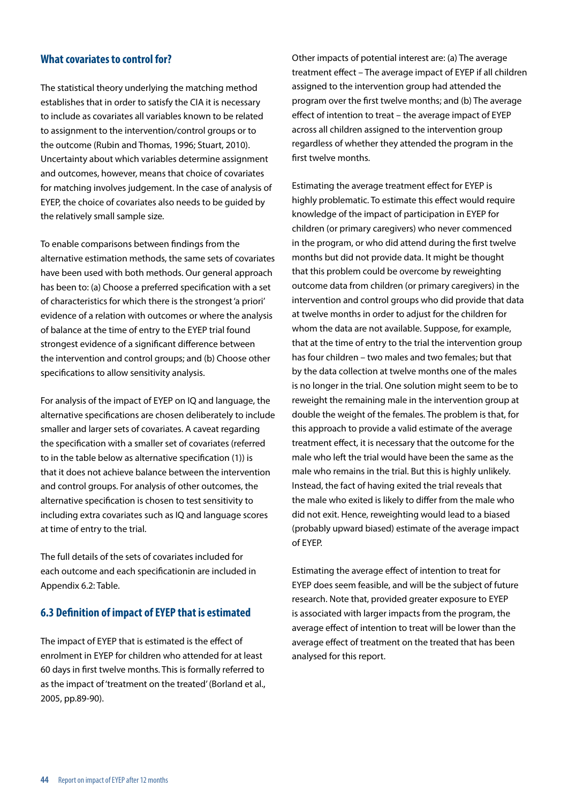#### **What covariates to control for?**

The statistical theory underlying the matching method establishes that in order to satisfy the CIA it is necessary to include as covariates all variables known to be related to assignment to the intervention/control groups or to the outcome (Rubin and Thomas, 1996; Stuart, 2010). Uncertainty about which variables determine assignment and outcomes, however, means that choice of covariates for matching involves judgement. In the case of analysis of EYEP, the choice of covariates also needs to be guided by the relatively small sample size.

To enable comparisons between findings from the alternative estimation methods, the same sets of covariates have been used with both methods. Our general approach has been to: (a) Choose a preferred specification with a set of characteristics for which there is the strongest 'a priori' evidence of a relation with outcomes or where the analysis of balance at the time of entry to the EYEP trial found strongest evidence of a significant difference between the intervention and control groups; and (b) Choose other specifications to allow sensitivity analysis.

For analysis of the impact of EYEP on IQ and language, the alternative specifications are chosen deliberately to include smaller and larger sets of covariates. A caveat regarding the specification with a smaller set of covariates (referred to in the table below as alternative specification (1)) is that it does not achieve balance between the intervention and control groups. For analysis of other outcomes, the alternative specification is chosen to test sensitivity to including extra covariates such as IQ and language scores at time of entry to the trial.

The full details of the sets of covariates included for each outcome and each specificationin are included in Appendix 6.2: Table.

#### **6.3 Definition of impact of EYEP that is estimated**

The impact of EYEP that is estimated is the effect of enrolment in EYEP for children who attended for at least 60 days in first twelve months. This is formally referred to as the impact of 'treatment on the treated' (Borland et al., 2005, pp.89-90).

Other impacts of potential interest are: (a) The average treatment effect – The average impact of EYEP if all children assigned to the intervention group had attended the program over the first twelve months; and (b) The average effect of intention to treat – the average impact of EYEP across all children assigned to the intervention group regardless of whether they attended the program in the first twelve months.

Estimating the average treatment effect for EYEP is highly problematic. To estimate this effect would require knowledge of the impact of participation in EYEP for children (or primary caregivers) who never commenced in the program, or who did attend during the first twelve months but did not provide data. It might be thought that this problem could be overcome by reweighting outcome data from children (or primary caregivers) in the intervention and control groups who did provide that data at twelve months in order to adjust for the children for whom the data are not available. Suppose, for example, that at the time of entry to the trial the intervention group has four children – two males and two females; but that by the data collection at twelve months one of the males is no longer in the trial. One solution might seem to be to reweight the remaining male in the intervention group at double the weight of the females. The problem is that, for this approach to provide a valid estimate of the average treatment effect, it is necessary that the outcome for the male who left the trial would have been the same as the male who remains in the trial. But this is highly unlikely. Instead, the fact of having exited the trial reveals that the male who exited is likely to differ from the male who did not exit. Hence, reweighting would lead to a biased (probably upward biased) estimate of the average impact of EYEP.

Estimating the average effect of intention to treat for EYEP does seem feasible, and will be the subject of future research. Note that, provided greater exposure to EYEP is associated with larger impacts from the program, the average effect of intention to treat will be lower than the average effect of treatment on the treated that has been analysed for this report.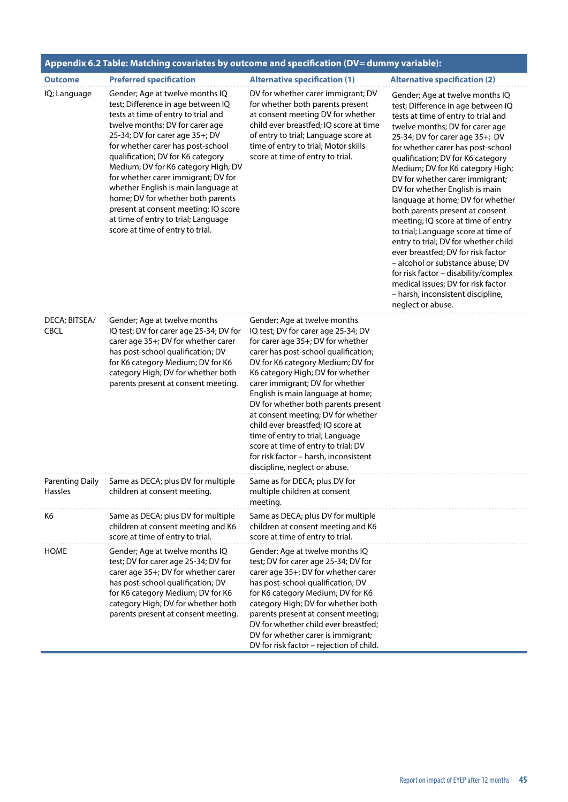|                              | Appendix 6.2 Table: Matching covariates by outcome and specification (DV= dummy variable):                                                                                                                                                                                                                                                                                                                                                                                                                                                |                                                                                                                                                                                                                                                                                                                                                                                                                                                                                                                                                                          |                                                                                                                                                                                                                                                                                                                                                                                                                                                                                                                                                                                                                                                                                                                                                                                     |  |  |  |  |  |
|------------------------------|-------------------------------------------------------------------------------------------------------------------------------------------------------------------------------------------------------------------------------------------------------------------------------------------------------------------------------------------------------------------------------------------------------------------------------------------------------------------------------------------------------------------------------------------|--------------------------------------------------------------------------------------------------------------------------------------------------------------------------------------------------------------------------------------------------------------------------------------------------------------------------------------------------------------------------------------------------------------------------------------------------------------------------------------------------------------------------------------------------------------------------|-------------------------------------------------------------------------------------------------------------------------------------------------------------------------------------------------------------------------------------------------------------------------------------------------------------------------------------------------------------------------------------------------------------------------------------------------------------------------------------------------------------------------------------------------------------------------------------------------------------------------------------------------------------------------------------------------------------------------------------------------------------------------------------|--|--|--|--|--|
| <b>Outcome</b>               | <b>Preferred specification</b>                                                                                                                                                                                                                                                                                                                                                                                                                                                                                                            | <b>Alternative specification (1)</b>                                                                                                                                                                                                                                                                                                                                                                                                                                                                                                                                     | <b>Alternative specification (2)</b>                                                                                                                                                                                                                                                                                                                                                                                                                                                                                                                                                                                                                                                                                                                                                |  |  |  |  |  |
| IQ; Language                 | Gender; Age at twelve months IQ<br>test; Difference in age between IQ<br>tests at time of entry to trial and<br>twelve months; DV for carer age<br>25-34; DV for carer age 35+; DV<br>for whether carer has post-school<br>qualification; DV for K6 category<br>Medium; DV for K6 category High; DV<br>for whether carer immigrant; DV for<br>whether English is main language at<br>home; DV for whether both parents<br>present at consent meeting; IQ score<br>at time of entry to trial; Language<br>score at time of entry to trial. | DV for whether carer immigrant; DV<br>for whether both parents present<br>at consent meeting DV for whether<br>child ever breastfed; IQ score at time<br>of entry to trial; Language score at<br>time of entry to trial; Motor skills<br>score at time of entry to trial.                                                                                                                                                                                                                                                                                                | Gender; Age at twelve months IQ<br>test; Difference in age between IQ<br>tests at time of entry to trial and<br>twelve months; DV for carer age<br>25-34; DV for carer age 35+; DV<br>for whether carer has post-school<br>qualification; DV for K6 category<br>Medium; DV for K6 category High;<br>DV for whether carer immigrant;<br>DV for whether English is main<br>language at home; DV for whether<br>both parents present at consent<br>meeting; IQ score at time of entry<br>to trial; Language score at time of<br>entry to trial; DV for whether child<br>ever breastfed; DV for risk factor<br>- alcohol or substance abuse; DV<br>for risk factor - disability/complex<br>medical issues; DV for risk factor<br>- harsh, inconsistent discipline,<br>neglect or abuse. |  |  |  |  |  |
| DECA; BITSEA/<br><b>CBCL</b> | Gender; Age at twelve months<br>IQ test; DV for carer age 25-34; DV for<br>carer age 35+; DV for whether carer<br>has post-school qualification; DV<br>for K6 category Medium; DV for K6<br>category High; DV for whether both<br>parents present at consent meeting.                                                                                                                                                                                                                                                                     | Gender; Age at twelve months<br>IQ test; DV for carer age 25-34; DV<br>for carer age 35+; DV for whether<br>carer has post-school qualification;<br>DV for K6 category Medium; DV for<br>K6 category High; DV for whether<br>carer immigrant; DV for whether<br>English is main language at home;<br>DV for whether both parents present<br>at consent meeting; DV for whether<br>child ever breastfed; IQ score at<br>time of entry to trial; Language<br>score at time of entry to trial; DV<br>for risk factor - harsh, inconsistent<br>discipline, neglect or abuse. |                                                                                                                                                                                                                                                                                                                                                                                                                                                                                                                                                                                                                                                                                                                                                                                     |  |  |  |  |  |
| <b>Hassles</b>               | Parenting Daily Same as DECA; plus DV for multiple<br>children at consent meeting.                                                                                                                                                                                                                                                                                                                                                                                                                                                        | Same as for DECA; plus DV for<br>multiple children at consent<br>meeting.                                                                                                                                                                                                                                                                                                                                                                                                                                                                                                |                                                                                                                                                                                                                                                                                                                                                                                                                                                                                                                                                                                                                                                                                                                                                                                     |  |  |  |  |  |
| K6                           | Same as DECA; plus DV for multiple<br>children at consent meeting and K6<br>score at time of entry to trial.                                                                                                                                                                                                                                                                                                                                                                                                                              | Same as DECA; plus DV for multiple<br>children at consent meeting and K6<br>score at time of entry to trial.                                                                                                                                                                                                                                                                                                                                                                                                                                                             |                                                                                                                                                                                                                                                                                                                                                                                                                                                                                                                                                                                                                                                                                                                                                                                     |  |  |  |  |  |
| <b>HOME</b>                  | Gender; Age at twelve months IQ<br>test; DV for carer age 25-34; DV for<br>carer age 35+; DV for whether carer<br>has post-school qualification; DV<br>for K6 category Medium; DV for K6<br>category High; DV for whether both<br>parents present at consent meeting.                                                                                                                                                                                                                                                                     | Gender; Age at twelve months IQ<br>test; DV for carer age 25-34; DV for<br>carer age 35+; DV for whether carer<br>has post-school qualification; DV<br>for K6 category Medium; DV for K6<br>category High; DV for whether both<br>parents present at consent meeting;<br>DV for whether child ever breastfed;<br>DV for whether carer is immigrant;<br>DV for risk factor - rejection of child.                                                                                                                                                                          |                                                                                                                                                                                                                                                                                                                                                                                                                                                                                                                                                                                                                                                                                                                                                                                     |  |  |  |  |  |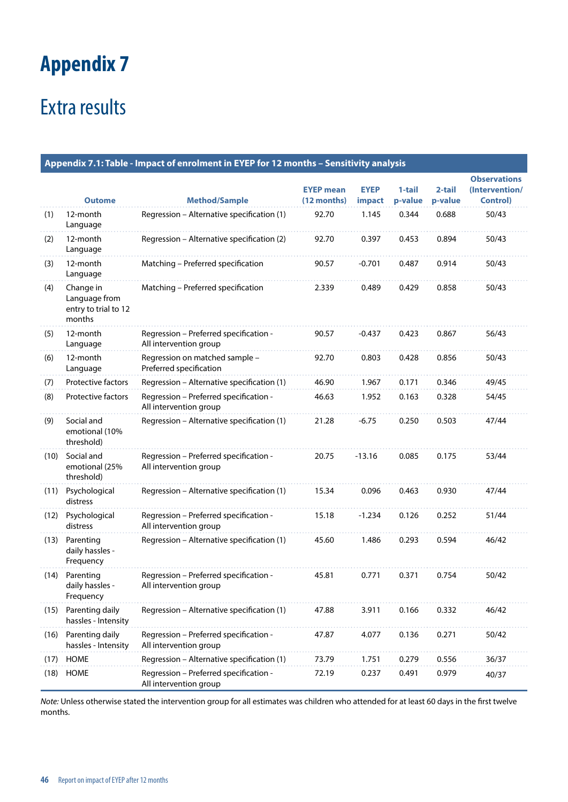# <span id="page-46-0"></span>Extra results

|      | Appendix 7.1: Table - Impact of enrolment in EYEP for 12 months - Sensitivity analysis |                                                                  |                                 |                              |                   |                   |                                                          |
|------|----------------------------------------------------------------------------------------|------------------------------------------------------------------|---------------------------------|------------------------------|-------------------|-------------------|----------------------------------------------------------|
|      | <b>Outome</b>                                                                          | <b>Method/Sample</b>                                             | <b>EYEP mean</b><br>(12 months) | <b>EYEP</b><br><i>impact</i> | 1-tail<br>p-value | 2-tail<br>p-value | <b>Observations</b><br>(Intervention/<br><b>Control)</b> |
| (1)  | 12-month<br>Language                                                                   | Regression - Alternative specification (1)                       | 92.70                           | 1.145                        | 0.344             | 0.688             | 50/43                                                    |
| (2)  | 12-month<br>Language                                                                   | Regression - Alternative specification (2)                       | 92.70                           | 0.397                        | 0.453             | 0.894             | 50/43                                                    |
| (3)  | 12-month<br>Language                                                                   | Matching - Preferred specification                               | 90.57                           | $-0.701$                     | 0.487             | 0.914             | 50/43                                                    |
| (4)  | Change in<br>Language from<br>entry to trial to 12<br>months                           | Matching - Preferred specification                               | 2.339                           | 0.489                        | 0.429             | 0.858             | 50/43                                                    |
| (5)  | 12-month<br>Language                                                                   | Regression - Preferred specification -<br>All intervention group | 90.57                           | $-0.437$                     | 0.423             | 0.867             | 56/43                                                    |
| (6)  | 12-month<br>Language                                                                   | Regression on matched sample -<br>Preferred specification        | 92.70                           | 0.803                        | 0.428             | 0.856             | 50/43                                                    |
| (7)  | Protective factors                                                                     | Regression - Alternative specification (1)                       | 46.90                           | 1.967                        | 0.171             | 0.346             | 49/45                                                    |
| (8)  | Protective factors                                                                     | Regression - Preferred specification -<br>All intervention group | 46.63                           | 1.952                        | 0.163             | 0.328             | 54/45                                                    |
| (9)  | Social and<br>emotional (10%<br>threshold)                                             | Regression - Alternative specification (1)                       | 21.28                           | $-6.75$                      | 0.250             | 0.503             | 47/44                                                    |
| (10) | Social and<br>emotional (25%<br>threshold)                                             | Regression - Preferred specification -<br>All intervention group | 20.75                           | $-13.16$                     | 0.085             | 0.175             | 53/44                                                    |
| (11) | Psychological<br>distress                                                              | Regression - Alternative specification (1)                       | 15.34                           | 0.096                        | 0.463             | 0.930             | 47/44                                                    |
| (12) | Psychological<br>distress                                                              | Regression - Preferred specification -<br>All intervention group | 15.18                           | $-1.234$                     | 0.126             | 0.252             | 51/44                                                    |
| (13) | Parenting<br>daily hassles -<br>Frequency                                              | Regression - Alternative specification (1)                       | 45.60                           | 1.486                        | 0.293             | 0.594             | 46/42                                                    |
| (14) | Parenting<br>daily hassles -<br>Frequency                                              | Regression - Preferred specification -<br>All intervention group | 45.81                           | 0.771                        | 0.371             | 0.754             | 50/42                                                    |
| (15) | Parenting daily<br>hassles - Intensity                                                 | Regression - Alternative specification (1)                       | 47.88                           | 3.911                        | 0.166             | 0.332             | 46/42                                                    |
| (16) | Parenting daily<br>hassles - Intensity                                                 | Regression - Preferred specification -<br>All intervention group | 47.87                           | 4.077                        | 0.136             | 0.271             | 50/42                                                    |
| (17) | <b>HOME</b>                                                                            | Regression - Alternative specification (1)                       | 73.79                           | 1.751                        | 0.279             | 0.556             | 36/37                                                    |
| (18) | <b>HOME</b>                                                                            | Regression - Preferred specification -<br>All intervention group | 72.19                           | 0.237                        | 0.491             | 0.979             | 40/37                                                    |

*Note:* Unless otherwise stated the intervention group for all estimates was children who attended for at least 60 days in the first twelve months.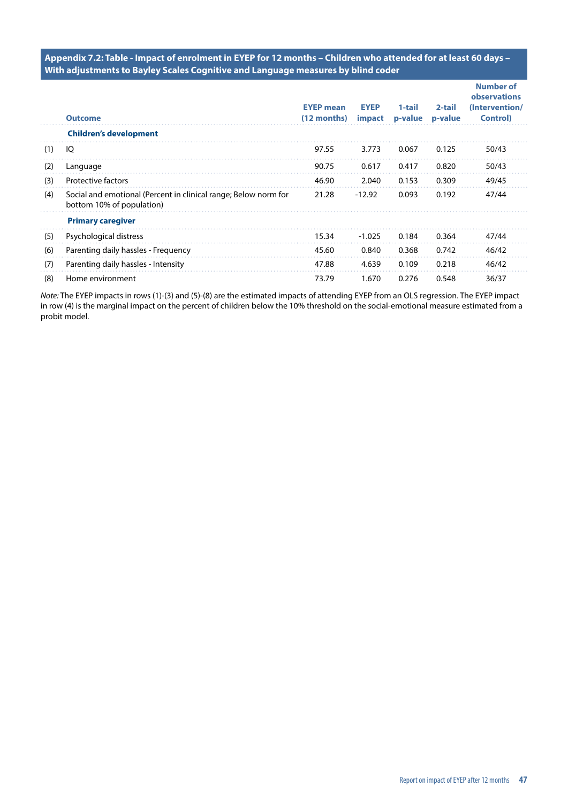**Appendix 7.2: Table - Impact of enrolment in EYEP for 12 months – Children who attended for at least 60 days – With adjustments to Bayley Scales Cognitive and Language measures by blind coder**

|     | <b>Outcome</b>                                                                               | <b>EYEP</b> mean<br>(12 months) | <b>EYEP</b><br>impact | 1-tail<br>p-value | 2-tail<br>p-value | <b>Number of</b><br>observations<br>(Intervention/<br><b>Control</b> ) |
|-----|----------------------------------------------------------------------------------------------|---------------------------------|-----------------------|-------------------|-------------------|------------------------------------------------------------------------|
|     | <b>Children's development</b>                                                                |                                 |                       |                   |                   |                                                                        |
| (1) | IQ                                                                                           | 97.55                           | 3.773                 | 0.067             | 0.125             | 50/43                                                                  |
| (2) | Language                                                                                     | 90.75                           | 0.617                 | 0.417             | 0.820             | 50/43                                                                  |
| (3) | <b>Protective factors</b>                                                                    | 46.90                           | 2.040                 | 0.153             | 0.309             | 49/45                                                                  |
| (4) | Social and emotional (Percent in clinical range; Below norm for<br>bottom 10% of population) | 21.28                           | $-12.92$              | 0.093             | 0.192             | 47/44                                                                  |
|     | <b>Primary caregiver</b>                                                                     |                                 |                       |                   |                   |                                                                        |
| (5) | Psychological distress                                                                       | 15.34                           | $-1.025$              | 0.184             | 0.364             | 47/44                                                                  |
| (6) | Parenting daily hassles - Frequency                                                          | 45.60                           | 0.840                 | 0.368             | 0.742             | 46/42                                                                  |
| (7) | Parenting daily hassles - Intensity                                                          | 47.88                           | 4.639                 | 0.109             | 0.218             | 46/42                                                                  |
| (8) | Home environment                                                                             | 73.79                           | 1.670                 | 0.276             | 0.548             | 36/37                                                                  |

*Note:* The EYEP impacts in rows (1)-(3) and (5)-(8) are the estimated impacts of attending EYEP from an OLS regression. The EYEP impact in row (4) is the marginal impact on the percent of children below the 10% threshold on the social-emotional measure estimated from a probit model.